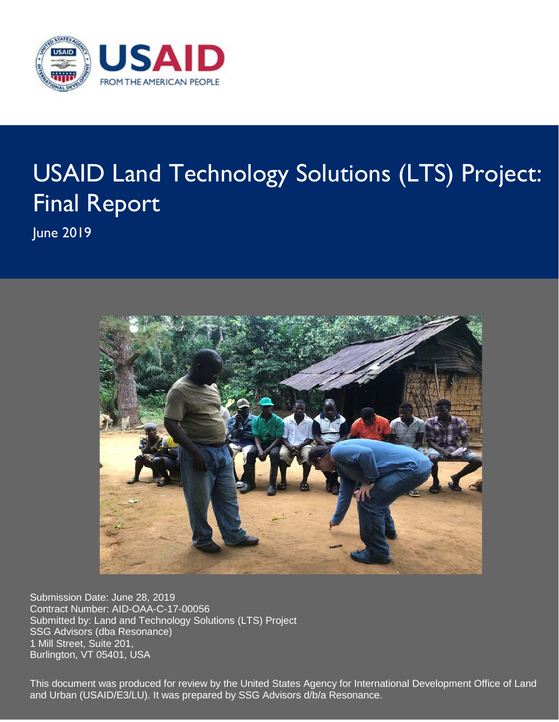

# USAID Land Technology Solutions (LTS) Project: Final Report

June 2019



Submission Date: June 28, 2019 Contract Number: AID-OAA-C-17-00056 Submitted by: Land and Technology Solutions (LTS) Project SSG Advisors (dba Resonance) 1 Mill Street, Suite 201, Burlington, VT 05401, USA

This document was produced for review by the United States Agency for International Development Office of Land and Urban (USAID/E3/LU). It was prepared by SSG Advisors d/b/a Resonance.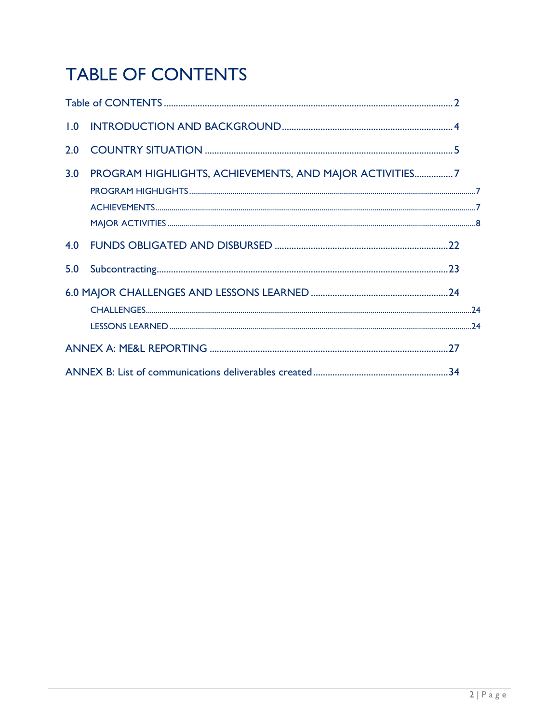# **TABLE OF CONTENTS**

| 1.0 |                                                         |  |
|-----|---------------------------------------------------------|--|
| 2.0 |                                                         |  |
| 3.0 | PROGRAM HIGHLIGHTS, ACHIEVEMENTS, AND MAJOR ACTIVITIES7 |  |
| 4.0 |                                                         |  |
| 5.0 |                                                         |  |
|     |                                                         |  |
|     |                                                         |  |
|     |                                                         |  |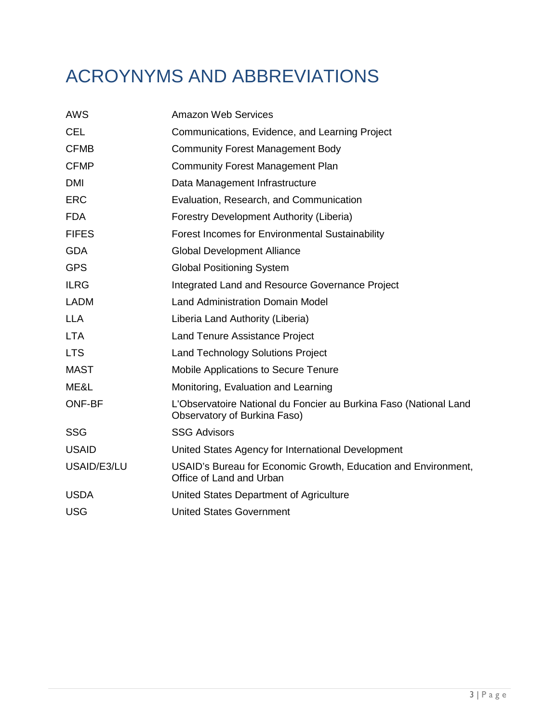# ACROYNYMS AND ABBREVIATIONS

| <b>AWS</b>    | <b>Amazon Web Services</b>                                                                        |
|---------------|---------------------------------------------------------------------------------------------------|
| <b>CEL</b>    | Communications, Evidence, and Learning Project                                                    |
| <b>CFMB</b>   | <b>Community Forest Management Body</b>                                                           |
| <b>CFMP</b>   | <b>Community Forest Management Plan</b>                                                           |
| <b>DMI</b>    | Data Management Infrastructure                                                                    |
| <b>ERC</b>    | Evaluation, Research, and Communication                                                           |
| <b>FDA</b>    | Forestry Development Authority (Liberia)                                                          |
| <b>FIFES</b>  | Forest Incomes for Environmental Sustainability                                                   |
| <b>GDA</b>    | <b>Global Development Alliance</b>                                                                |
| <b>GPS</b>    | <b>Global Positioning System</b>                                                                  |
| <b>ILRG</b>   | Integrated Land and Resource Governance Project                                                   |
| <b>LADM</b>   | <b>Land Administration Domain Model</b>                                                           |
| <b>LLA</b>    | Liberia Land Authority (Liberia)                                                                  |
| <b>LTA</b>    | Land Tenure Assistance Project                                                                    |
| <b>LTS</b>    | <b>Land Technology Solutions Project</b>                                                          |
| <b>MAST</b>   | Mobile Applications to Secure Tenure                                                              |
| ME&L          | Monitoring, Evaluation and Learning                                                               |
| <b>ONF-BF</b> | L'Observatoire National du Foncier au Burkina Faso (National Land<br>Observatory of Burkina Faso) |
| <b>SSG</b>    | <b>SSG Advisors</b>                                                                               |
| <b>USAID</b>  | United States Agency for International Development                                                |
| USAID/E3/LU   | USAID's Bureau for Economic Growth, Education and Environment,<br>Office of Land and Urban        |
| <b>USDA</b>   | United States Department of Agriculture                                                           |
| <b>USG</b>    | <b>United States Government</b>                                                                   |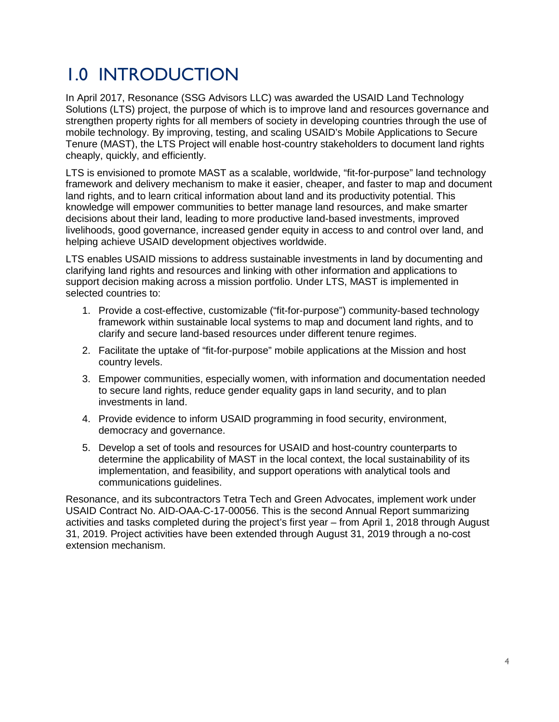### 1.0 INTRODUCTION

In April 2017, Resonance (SSG Advisors LLC) was awarded the USAID Land Technology Solutions (LTS) project, the purpose of which is to improve land and resources governance and strengthen property rights for all members of society in developing countries through the use of mobile technology. By improving, testing, and scaling USAID's Mobile Applications to Secure Tenure (MAST), the LTS Project will enable host-country stakeholders to document land rights cheaply, quickly, and efficiently.

LTS is envisioned to promote MAST as a scalable, worldwide, "fit-for-purpose" land technology framework and delivery mechanism to make it easier, cheaper, and faster to map and document land rights, and to learn critical information about land and its productivity potential. This knowledge will empower communities to better manage land resources, and make smarter decisions about their land, leading to more productive land-based investments, improved livelihoods, good governance, increased gender equity in access to and control over land, and helping achieve USAID development objectives worldwide.

LTS enables USAID missions to address sustainable investments in land by documenting and clarifying land rights and resources and linking with other information and applications to support decision making across a mission portfolio. Under LTS, MAST is implemented in selected countries to:

- 1. Provide a cost-effective, customizable ("fit-for-purpose") community-based technology framework within sustainable local systems to map and document land rights, and to clarify and secure land-based resources under different tenure regimes.
- 2. Facilitate the uptake of "fit-for-purpose" mobile applications at the Mission and host country levels.
- 3. Empower communities, especially women, with information and documentation needed to secure land rights, reduce gender equality gaps in land security, and to plan investments in land.
- 4. Provide evidence to inform USAID programming in food security, environment, democracy and governance.
- 5. Develop a set of tools and resources for USAID and host-country counterparts to determine the applicability of MAST in the local context, the local sustainability of its implementation, and feasibility, and support operations with analytical tools and communications guidelines.

Resonance, and its subcontractors Tetra Tech and Green Advocates, implement work under USAID Contract No. AID-OAA-C-17-00056. This is the second Annual Report summarizing activities and tasks completed during the project's first year – from April 1, 2018 through August 31, 2019. Project activities have been extended through August 31, 2019 through a no-cost extension mechanism.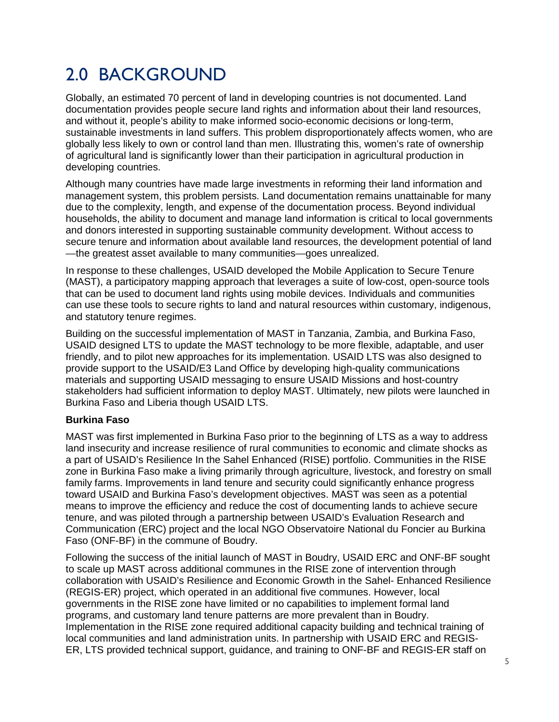### 2.0 BACKGROUND

Globally, an estimated 70 percent of land in developing countries is not documented. Land documentation provides people secure land rights and information about their land resources, and without it, people's ability to make informed socio-economic decisions or long-term, sustainable investments in land suffers. This problem disproportionately affects women, who are globally less likely to own or control land than men. Illustrating this, women's rate of ownership of agricultural land is significantly lower than their participation in agricultural production in developing countries.

Although many countries have made large investments in reforming their land information and management system, this problem persists. Land documentation remains unattainable for many due to the complexity, length, and expense of the documentation process. Beyond individual households, the ability to document and manage land information is critical to local governments and donors interested in supporting sustainable community development. Without access to secure tenure and information about available land resources, the development potential of land —the greatest asset available to many communities—goes unrealized.

In response to these challenges, USAID developed the Mobile Application to Secure Tenure (MAST), a participatory mapping approach that leverages a suite of low-cost, open-source tools that can be used to document land rights using mobile devices. Individuals and communities can use these tools to secure rights to land and natural resources within customary, indigenous, and statutory tenure regimes.

Building on the successful implementation of MAST in Tanzania, Zambia, and Burkina Faso, USAID designed LTS to update the MAST technology to be more flexible, adaptable, and user friendly, and to pilot new approaches for its implementation. USAID LTS was also designed to provide support to the USAID/E3 Land Office by developing high-quality communications materials and supporting USAID messaging to ensure USAID Missions and host-country stakeholders had sufficient information to deploy MAST. Ultimately, new pilots were launched in Burkina Faso and Liberia though USAID LTS.

#### **Burkina Faso**

MAST was first implemented in Burkina Faso prior to the beginning of LTS as a way to address land insecurity and increase resilience of rural communities to economic and climate shocks as a part of USAID's Resilience In the Sahel Enhanced (RISE) portfolio. Communities in the RISE zone in Burkina Faso make a living primarily through agriculture, livestock, and forestry on small family farms. Improvements in land tenure and security could significantly enhance progress toward USAID and Burkina Faso's development objectives. MAST was seen as a potential means to improve the efficiency and reduce the cost of documenting lands to achieve secure tenure, and was piloted through a partnership between USAID's Evaluation Research and Communication (ERC) project and the local NGO Observatoire National du Foncier au Burkina Faso (ONF-BF) in the commune of Boudry.

Following the success of the initial launch of MAST in Boudry, USAID ERC and ONF-BF sought to scale up MAST across additional communes in the RISE zone of intervention through collaboration with USAID's Resilience and Economic Growth in the Sahel- Enhanced Resilience (REGIS-ER) project, which operated in an additional five communes. However, local governments in the RISE zone have limited or no capabilities to implement formal land programs, and customary land tenure patterns are more prevalent than in Boudry. Implementation in the RISE zone required additional capacity building and technical training of local communities and land administration units. In partnership with USAID ERC and REGIS-ER, LTS provided technical support, guidance, and training to ONF-BF and REGIS-ER staff on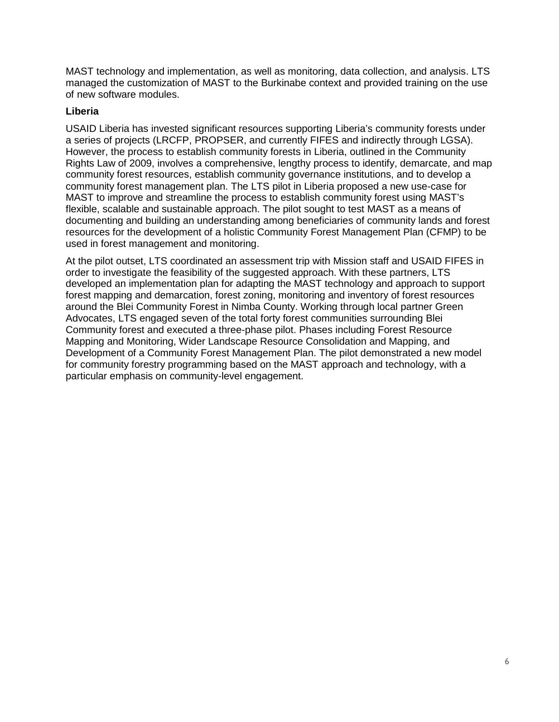MAST technology and implementation, as well as monitoring, data collection, and analysis. LTS managed the customization of MAST to the Burkinabe context and provided training on the use of new software modules.

#### **Liberia**

USAID Liberia has invested significant resources supporting Liberia's community forests under a series of projects (LRCFP, PROPSER, and currently FIFES and indirectly through LGSA). However, the process to establish community forests in Liberia, outlined in the Community Rights Law of 2009, involves a comprehensive, lengthy process to identify, demarcate, and map community forest resources, establish community governance institutions, and to develop a community forest management plan. The LTS pilot in Liberia proposed a new use-case for MAST to improve and streamline the process to establish community forest using MAST's flexible, scalable and sustainable approach. The pilot sought to test MAST as a means of documenting and building an understanding among beneficiaries of community lands and forest resources for the development of a holistic Community Forest Management Plan (CFMP) to be used in forest management and monitoring.

At the pilot outset, LTS coordinated an assessment trip with Mission staff and USAID FIFES in order to investigate the feasibility of the suggested approach. With these partners, LTS developed an implementation plan for adapting the MAST technology and approach to support forest mapping and demarcation, forest zoning, monitoring and inventory of forest resources around the Blei Community Forest in Nimba County. Working through local partner Green Advocates, LTS engaged seven of the total forty forest communities surrounding Blei Community forest and executed a three-phase pilot. Phases including Forest Resource Mapping and Monitoring, Wider Landscape Resource Consolidation and Mapping, and Development of a Community Forest Management Plan. The pilot demonstrated a new model for community forestry programming based on the MAST approach and technology, with a particular emphasis on community-level engagement.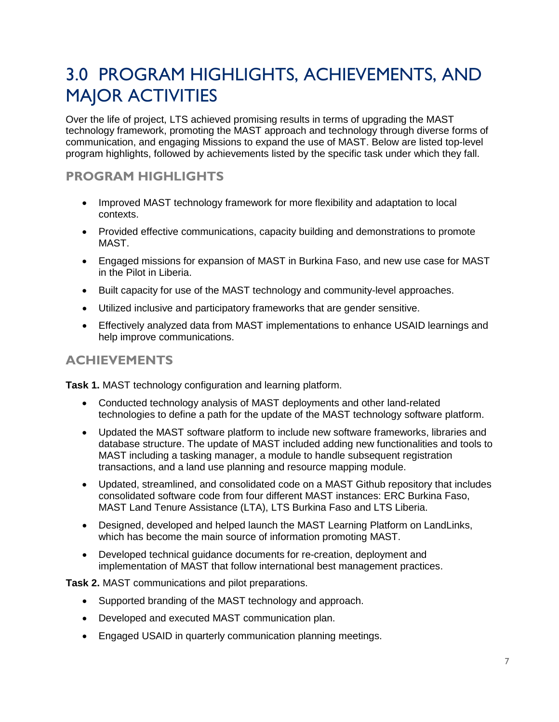### 3.0 PROGRAM HIGHLIGHTS, ACHIEVEMENTS, AND MAJOR ACTIVITIES

Over the life of project, LTS achieved promising results in terms of upgrading the MAST technology framework, promoting the MAST approach and technology through diverse forms of communication, and engaging Missions to expand the use of MAST. Below are listed top-level program highlights, followed by achievements listed by the specific task under which they fall.

### **PROGRAM HIGHLIGHTS**

- Improved MAST technology framework for more flexibility and adaptation to local contexts.
- Provided effective communications, capacity building and demonstrations to promote MAST.
- Engaged missions for expansion of MAST in Burkina Faso, and new use case for MAST in the Pilot in Liberia.
- Built capacity for use of the MAST technology and community-level approaches.
- Utilized inclusive and participatory frameworks that are gender sensitive.
- Effectively analyzed data from MAST implementations to enhance USAID learnings and help improve communications.

### **ACHIEVEMENTS**

**Task 1.** MAST technology configuration and learning platform.

- Conducted technology analysis of MAST deployments and other land-related technologies to define a path for the update of the MAST technology software platform.
- Updated the MAST software platform to include new software frameworks, libraries and database structure. The update of MAST included adding new functionalities and tools to MAST including a tasking manager, a module to handle subsequent registration transactions, and a land use planning and resource mapping module.
- Updated, streamlined, and consolidated code on a MAST Github repository that includes consolidated software code from four different MAST instances: ERC Burkina Faso, MAST Land Tenure Assistance (LTA), LTS Burkina Faso and LTS Liberia.
- Designed, developed and helped launch the MAST Learning Platform on LandLinks, which has become the main source of information promoting MAST.
- Developed technical guidance documents for re-creation, deployment and implementation of MAST that follow international best management practices.

**Task 2.** MAST communications and pilot preparations.

- Supported branding of the MAST technology and approach.
- Developed and executed MAST communication plan.
- Engaged USAID in quarterly communication planning meetings.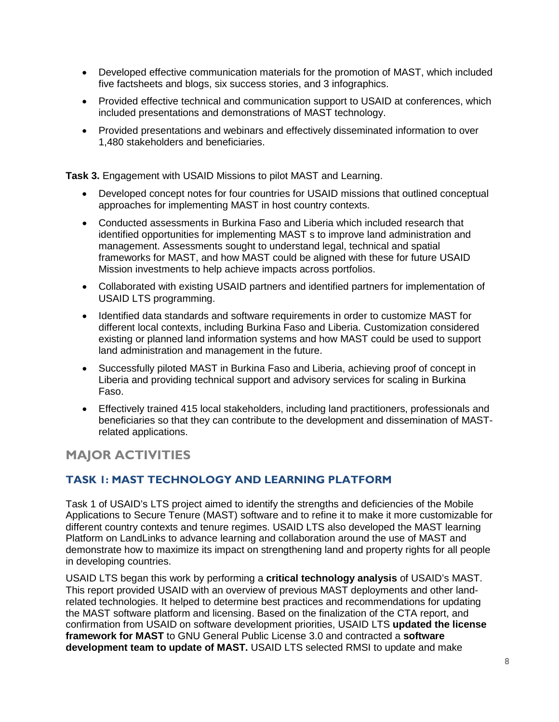- Developed effective communication materials for the promotion of MAST, which included five factsheets and blogs, six success stories, and 3 infographics.
- Provided effective technical and communication support to USAID at conferences, which included presentations and demonstrations of MAST technology.
- Provided presentations and webinars and effectively disseminated information to over 1,480 stakeholders and beneficiaries.

**Task 3.** Engagement with USAID Missions to pilot MAST and Learning.

- Developed concept notes for four countries for USAID missions that outlined conceptual approaches for implementing MAST in host country contexts.
- Conducted assessments in Burkina Faso and Liberia which included research that identified opportunities for implementing MAST s to improve land administration and management. Assessments sought to understand legal, technical and spatial frameworks for MAST, and how MAST could be aligned with these for future USAID Mission investments to help achieve impacts across portfolios.
- Collaborated with existing USAID partners and identified partners for implementation of USAID LTS programming.
- Identified data standards and software requirements in order to customize MAST for different local contexts, including Burkina Faso and Liberia. Customization considered existing or planned land information systems and how MAST could be used to support land administration and management in the future.
- Successfully piloted MAST in Burkina Faso and Liberia, achieving proof of concept in Liberia and providing technical support and advisory services for scaling in Burkina Faso.
- Effectively trained 415 local stakeholders, including land practitioners, professionals and beneficiaries so that they can contribute to the development and dissemination of MASTrelated applications.

### **MAJOR ACTIVITIES**

### **TASK 1: MAST TECHNOLOGY AND LEARNING PLATFORM**

Task 1 of USAID's LTS project aimed to identify the strengths and deficiencies of the Mobile Applications to Secure Tenure (MAST) software and to refine it to make it more customizable for different country contexts and tenure regimes. USAID LTS also developed the MAST learning Platform on LandLinks to advance learning and collaboration around the use of MAST and demonstrate how to maximize its impact on strengthening land and property rights for all people in developing countries.

USAID LTS began this work by performing a **critical technology analysis** of USAID's MAST. This report provided USAID with an overview of previous MAST deployments and other landrelated technologies. It helped to determine best practices and recommendations for updating the MAST software platform and licensing. Based on the finalization of the CTA report, and confirmation from USAID on software development priorities, USAID LTS **updated the license framework for MAST** to GNU General Public License 3.0 and contracted a **software development team to update of MAST.** USAID LTS selected RMSI to update and make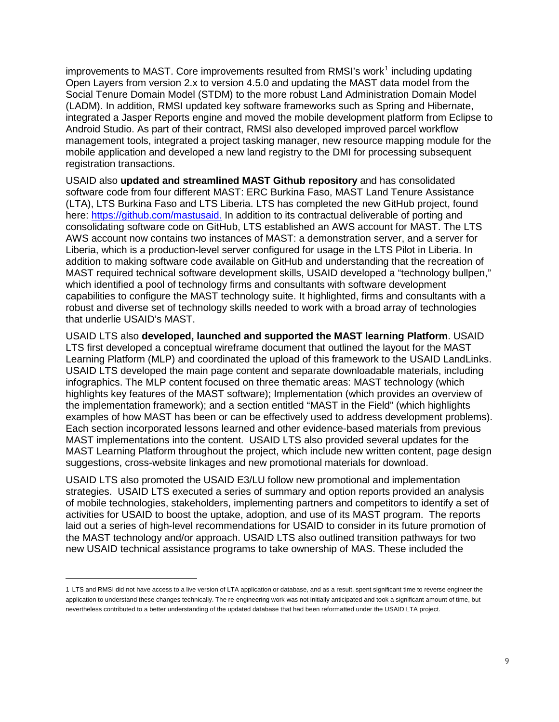improvements to MAST. Core improvements resulted from RMSI's work<sup>[1](#page-8-0)</sup> including updating Open Layers from version 2.x to version 4.5.0 and updating the MAST data model from the Social Tenure Domain Model (STDM) to the more robust Land Administration Domain Model (LADM). In addition, RMSI updated key software frameworks such as Spring and Hibernate, integrated a Jasper Reports engine and moved the mobile development platform from Eclipse to Android Studio. As part of their contract, RMSI also developed improved parcel workflow management tools, integrated a project tasking manager, new resource mapping module for the mobile application and developed a new land registry to the DMI for processing subsequent registration transactions.

USAID also **updated and streamlined MAST Github repository** and has consolidated software code from four different MAST: ERC Burkina Faso, MAST Land Tenure Assistance (LTA), LTS Burkina Faso and LTS Liberia. LTS has completed the new GitHub project, found here: [https://github.com/mastusaid.](https://github.com/mastusaid) In addition to its contractual deliverable of porting and consolidating software code on GitHub, LTS established an AWS account for MAST. The LTS AWS account now contains two instances of MAST: a demonstration server, and a server for Liberia, which is a production-level server configured for usage in the LTS Pilot in Liberia. In addition to making software code available on GitHub and understanding that the recreation of MAST required technical software development skills, USAID developed a "technology bullpen," which identified a pool of technology firms and consultants with software development capabilities to configure the MAST technology suite. It highlighted, firms and consultants with a robust and diverse set of technology skills needed to work with a broad array of technologies that underlie USAID's MAST.

USAID LTS also **developed, launched and supported the MAST learning Platform**. USAID LTS first developed a conceptual wireframe document that outlined the layout for the MAST Learning Platform (MLP) and coordinated the upload of this framework to the USAID LandLinks. USAID LTS developed the main page content and separate downloadable materials, including infographics. The MLP content focused on three thematic areas: MAST technology (which highlights key features of the MAST software); Implementation (which provides an overview of the implementation framework); and a section entitled "MAST in the Field" (which highlights examples of how MAST has been or can be effectively used to address development problems). Each section incorporated lessons learned and other evidence-based materials from previous MAST implementations into the content. USAID LTS also provided several updates for the MAST Learning Platform throughout the project, which include new written content, page design suggestions, cross-website linkages and new promotional materials for download.

USAID LTS also promoted the USAID E3/LU follow new promotional and implementation strategies. USAID LTS executed a series of summary and option reports provided an analysis of mobile technologies, stakeholders, implementing partners and competitors to identify a set of activities for USAID to boost the uptake, adoption, and use of its MAST program. The reports laid out a series of high-level recommendations for USAID to consider in its future promotion of the MAST technology and/or approach. USAID LTS also outlined transition pathways for two new USAID technical assistance programs to take ownership of MAS. These included the

 $\overline{a}$ 

<span id="page-8-0"></span><sup>1</sup> LTS and RMSI did not have access to a live version of LTA application or database, and as a result, spent significant time to reverse engineer the application to understand these changes technically. The re-engineering work was not initially anticipated and took a significant amount of time, but nevertheless contributed to a better understanding of the updated database that had been reformatted under the USAID LTA project.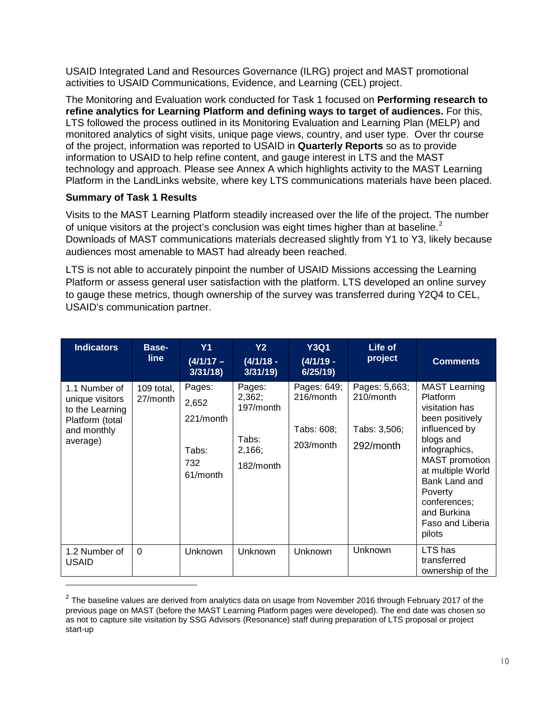USAID Integrated Land and Resources Governance (ILRG) project and MAST promotional activities to USAID Communications, Evidence, and Learning (CEL) project.

The Monitoring and Evaluation work conducted for Task 1 focused on **Performing research to refine analytics for Learning Platform and defining ways to target of audiences.** For this, LTS followed the process outlined in its Monitoring Evaluation and Learning Plan (MELP) and monitored analytics of sight visits, unique page views, country, and user type. Over thr course of the project, information was reported to USAID in **Quarterly Reports** so as to provide information to USAID to help refine content, and gauge interest in LTS and the MAST technology and approach. Please see Annex A which highlights activity to the MAST Learning Platform in the LandLinks website, where key LTS communications materials have been placed.

### **Summary of Task 1 Results**

 $\overline{a}$ 

Visits to the MAST Learning Platform steadily increased over the life of the project. The number of unique visitors at the project's conclusion was eight times higher than at baseline.<sup>[2](#page-9-0)</sup> Downloads of MAST communications materials decreased slightly from Y1 to Y3, likely because audiences most amenable to MAST had already been reached.

LTS is not able to accurately pinpoint the number of USAID Missions accessing the Learning Platform or assess general user satisfaction with the platform. LTS developed an online survey to gauge these metrics, though ownership of the survey was transferred during Y2Q4 to CEL, USAID's communication partner.

| <b>Indicators</b>                                                                                 | Base-<br><b>line</b>   | Y <sub>1</sub><br>$(4/1/17 -$<br>3/31/18                 | Y2<br>$(4/1/18 -$<br>3/31/19                                  | <b>Y3Q1</b><br>$(4/1/19 -$<br>6/25/19               | Life of<br>project                                      | <b>Comments</b>                                                                                                                                                                                                                                             |
|---------------------------------------------------------------------------------------------------|------------------------|----------------------------------------------------------|---------------------------------------------------------------|-----------------------------------------------------|---------------------------------------------------------|-------------------------------------------------------------------------------------------------------------------------------------------------------------------------------------------------------------------------------------------------------------|
| 1.1 Number of<br>unique visitors<br>to the Learning<br>Platform (total<br>and monthly<br>average) | 109 total,<br>27/month | Pages:<br>2,652<br>221/month<br>Tabs:<br>732<br>61/month | Pages:<br>2,362;<br>197/month<br>Tabs:<br>2,166;<br>182/month | Pages: 649;<br>216/month<br>Tabs: 608;<br>203/month | Pages: 5,663;<br>210/month<br>Tabs: 3,506;<br>292/month | <b>MAST Learning</b><br>Platform<br>visitation has<br>been positively<br>influenced by<br>blogs and<br>infographics,<br><b>MAST</b> promotion<br>at multiple World<br>Bank Land and<br>Poverty<br>conferences;<br>and Burkina<br>Faso and Liberia<br>pilots |
| 1.2 Number of<br><b>USAID</b>                                                                     | $\Omega$               | Unknown                                                  | Unknown                                                       | Unknown                                             | <b>Unknown</b>                                          | LTS has<br>transferred<br>ownership of the                                                                                                                                                                                                                  |

<span id="page-9-0"></span> $2$  The baseline values are derived from analytics data on usage from November 2016 through February 2017 of the previous page on MAST (before the MAST Learning Platform pages were developed). The end date was chosen so as not to capture site visitation by SSG Advisors (Resonance) staff during preparation of LTS proposal or project start-up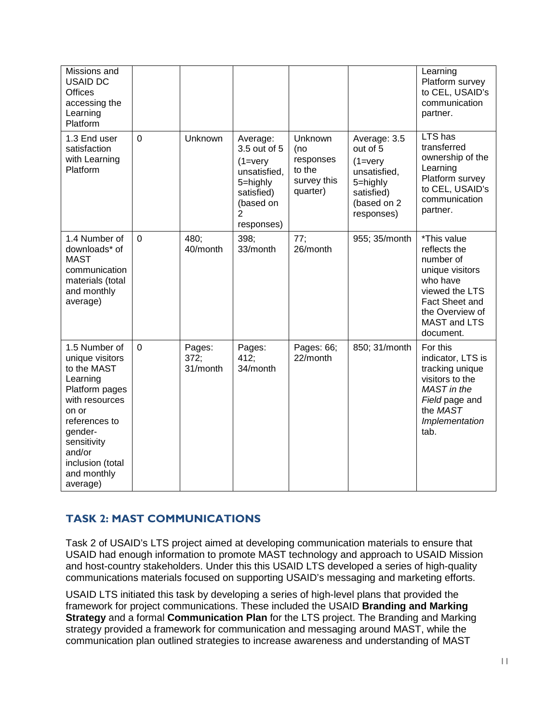| Missions and<br><b>USAID DC</b><br><b>Offices</b><br>accessing the<br>Learning<br>Platform                                                                                                                   |                |                            |                                                                                                                           |                                                                  |                                                                                                                        | Learning<br>Platform survey<br>to CEL, USAID's<br>communication<br>partner.                                                                                        |
|--------------------------------------------------------------------------------------------------------------------------------------------------------------------------------------------------------------|----------------|----------------------------|---------------------------------------------------------------------------------------------------------------------------|------------------------------------------------------------------|------------------------------------------------------------------------------------------------------------------------|--------------------------------------------------------------------------------------------------------------------------------------------------------------------|
| 1.3 End user<br>satisfaction<br>with Learning<br>Platform                                                                                                                                                    | $\overline{0}$ | Unknown                    | Average:<br>3.5 out of 5<br>$(1 = \text{very})$<br>unsatisfied,<br>5=highly<br>satisfied)<br>(based on<br>2<br>responses) | Unknown<br>(no<br>responses<br>to the<br>survey this<br>quarter) | Average: 3.5<br>out of 5<br>$(1 = \text{very})$<br>unsatisfied,<br>5=highly<br>satisfied)<br>(based on 2<br>responses) | LTS has<br>transferred<br>ownership of the<br>Learning<br>Platform survey<br>to CEL, USAID's<br>communication<br>partner.                                          |
| 1.4 Number of<br>downloads* of<br><b>MAST</b><br>communication<br>materials (total<br>and monthly<br>average)                                                                                                | $\overline{0}$ | 480;<br>40/month           | 398:<br>33/month                                                                                                          | 77;<br>26/month                                                  | 955; 35/month                                                                                                          | *This value<br>reflects the<br>number of<br>unique visitors<br>who have<br>viewed the LTS<br>Fact Sheet and<br>the Overview of<br><b>MAST and LTS</b><br>document. |
| 1.5 Number of<br>unique visitors<br>to the MAST<br>Learning<br>Platform pages<br>with resources<br>on or<br>references to<br>gender-<br>sensitivity<br>and/or<br>inclusion (total<br>and monthly<br>average) | $\overline{0}$ | Pages:<br>372;<br>31/month | Pages:<br>412;<br>34/month                                                                                                | Pages: 66;<br>22/month                                           | 850; 31/month                                                                                                          | For this<br>indicator, LTS is<br>tracking unique<br>visitors to the<br>MAST in the<br>Field page and<br>the MAST<br>Implementation<br>tab.                         |

### **TASK 2: MAST COMMUNICATIONS**

Task 2 of USAID's LTS project aimed at developing communication materials to ensure that USAID had enough information to promote MAST technology and approach to USAID Mission and host-country stakeholders. Under this this USAID LTS developed a series of high-quality communications materials focused on supporting USAID's messaging and marketing efforts.

USAID LTS initiated this task by developing a series of high-level plans that provided the framework for project communications. These included the USAID **Branding and Marking Strategy** and a formal **Communication Plan** for the LTS project. The Branding and Marking strategy provided a framework for communication and messaging around MAST, while the communication plan outlined strategies to increase awareness and understanding of MAST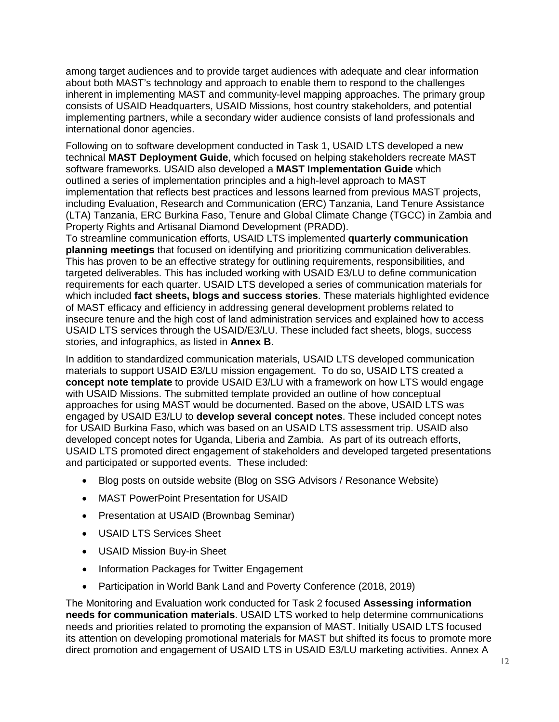among target audiences and to provide target audiences with adequate and clear information about both MAST's technology and approach to enable them to respond to the challenges inherent in implementing MAST and community-level mapping approaches. The primary group consists of USAID Headquarters, USAID Missions, host country stakeholders, and potential implementing partners, while a secondary wider audience consists of land professionals and international donor agencies.

Following on to software development conducted in Task 1, USAID LTS developed a new technical **MAST Deployment Guide**, which focused on helping stakeholders recreate MAST software frameworks. USAID also developed a **MAST Implementation Guide** which outlined a series of implementation principles and a high-level approach to MAST implementation that reflects best practices and lessons learned from previous MAST projects, including Evaluation, Research and Communication (ERC) Tanzania, Land Tenure Assistance (LTA) Tanzania, ERC Burkina Faso, Tenure and Global Climate Change (TGCC) in Zambia and Property Rights and Artisanal Diamond Development (PRADD).

To streamline communication efforts, USAID LTS implemented **quarterly communication planning meetings** that focused on identifying and prioritizing communication deliverables. This has proven to be an effective strategy for outlining requirements, responsibilities, and targeted deliverables. This has included working with USAID E3/LU to define communication requirements for each quarter. USAID LTS developed a series of communication materials for which included **fact sheets, blogs and success stories**. These materials highlighted evidence of MAST efficacy and efficiency in addressing general development problems related to insecure tenure and the high cost of land administration services and explained how to access USAID LTS services through the USAID/E3/LU. These included fact sheets, blogs, success stories, and infographics, as listed in **Annex B**.

In addition to standardized communication materials, USAID LTS developed communication materials to support USAID E3/LU mission engagement. To do so, USAID LTS created a **concept note template** to provide USAID E3/LU with a framework on how LTS would engage with USAID Missions. The submitted template provided an outline of how conceptual approaches for using MAST would be documented. Based on the above, USAID LTS was engaged by USAID E3/LU to **develop several concept notes**. These included concept notes for USAID Burkina Faso, which was based on an USAID LTS assessment trip. USAID also developed concept notes for Uganda, Liberia and Zambia. As part of its outreach efforts, USAID LTS promoted direct engagement of stakeholders and developed targeted presentations and participated or supported events. These included:

- Blog posts on outside website (Blog on SSG Advisors / Resonance Website)
- MAST PowerPoint Presentation for USAID
- Presentation at USAID (Brownbag Seminar)
- USAID LTS Services Sheet
- USAID Mission Buy-in Sheet
- Information Packages for Twitter Engagement
- Participation in World Bank Land and Poverty Conference (2018, 2019)

The Monitoring and Evaluation work conducted for Task 2 focused **Assessing information needs for communication materials**. USAID LTS worked to help determine communications needs and priorities related to promoting the expansion of MAST. Initially USAID LTS focused its attention on developing promotional materials for MAST but shifted its focus to promote more direct promotion and engagement of USAID LTS in USAID E3/LU marketing activities. Annex A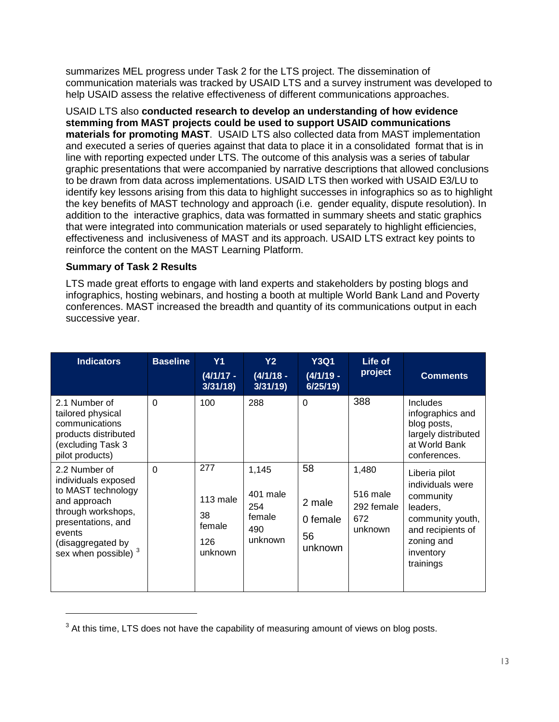summarizes MEL progress under Task 2 for the LTS project. The dissemination of communication materials was tracked by USAID LTS and a survey instrument was developed to help USAID assess the relative effectiveness of different communications approaches.

USAID LTS also **conducted research to develop an understanding of how evidence stemming from MAST projects could be used to support USAID communications materials for promoting MAST**. USAID LTS also collected data from MAST implementation and executed a series of queries against that data to place it in a consolidated format that is in line with reporting expected under LTS. The outcome of this analysis was a series of tabular graphic presentations that were accompanied by narrative descriptions that allowed conclusions to be drawn from data across implementations. USAID LTS then worked with USAID E3/LU to identify key lessons arising from this data to highlight successes in infographics so as to highlight the key benefits of MAST technology and approach (i.e. gender equality, dispute resolution). In addition to the interactive graphics, data was formatted in summary sheets and static graphics that were integrated into communication materials or used separately to highlight efficiencies, effectiveness and inclusiveness of MAST and its approach. USAID LTS extract key points to reinforce the content on the MAST Learning Platform.

#### **Summary of Task 2 Results**

 $\overline{a}$ 

LTS made great efforts to engage with land experts and stakeholders by posting blogs and infographics, hosting webinars, and hosting a booth at multiple World Bank Land and Poverty conferences. MAST increased the breadth and quantity of its communications output in each successive year.

| <b>Indicators</b>                                                                                                                                                             | <b>Baseline</b> | <b>Y1</b><br>$(4/1/17 -$<br>3/31/18               | <b>Y2</b><br>$(4/1/18 -$<br>3/31/19                  | <b>Y3Q1</b><br>$(4/1/19 -$<br>6/25/19     | Life of<br>project                                | <b>Comments</b>                                                                                                                             |
|-------------------------------------------------------------------------------------------------------------------------------------------------------------------------------|-----------------|---------------------------------------------------|------------------------------------------------------|-------------------------------------------|---------------------------------------------------|---------------------------------------------------------------------------------------------------------------------------------------------|
| 2.1 Number of<br>tailored physical<br>communications<br>products distributed<br>(excluding Task 3<br>pilot products)                                                          | $\Omega$        | 100                                               | 288                                                  | $\Omega$                                  | 388                                               | <b>Includes</b><br>infographics and<br>blog posts,<br>largely distributed<br>at World Bank<br>conferences.                                  |
| 2.2 Number of<br>individuals exposed<br>to MAST technology<br>and approach<br>through workshops,<br>presentations, and<br>events<br>(disaggregated by<br>sex when possible) 3 | $\Omega$        | 277<br>113 male<br>38<br>female<br>126<br>unknown | 1,145<br>401 male<br>254<br>female<br>490<br>unknown | 58<br>2 male<br>0 female<br>56<br>unknown | 1,480<br>516 male<br>292 female<br>672<br>unknown | Liberia pilot<br>individuals were<br>community<br>leaders,<br>community youth,<br>and recipients of<br>zoning and<br>inventory<br>trainings |

<span id="page-12-0"></span><sup>&</sup>lt;sup>3</sup> At this time, LTS does not have the capability of measuring amount of views on blog posts.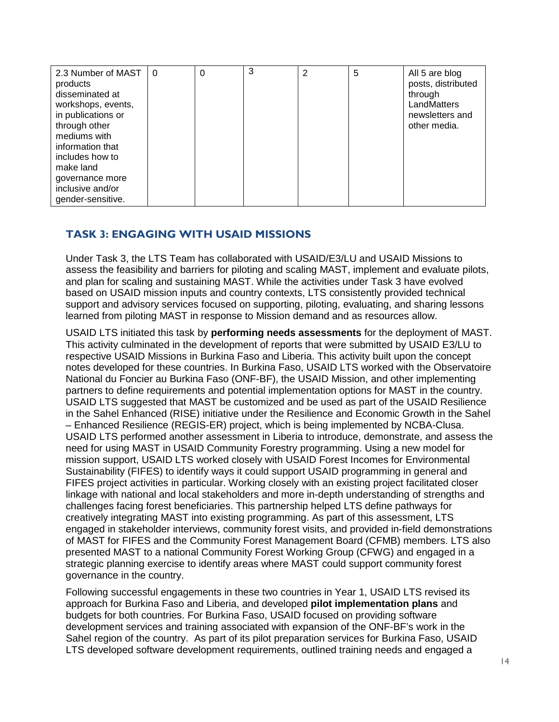| 2.3 Number of MAST          | $\overline{0}$ | $\Omega$ | 3 | 2 | 5 | All 5 are blog                |
|-----------------------------|----------------|----------|---|---|---|-------------------------------|
| products<br>disseminated at |                |          |   |   |   | posts, distributed<br>through |
| workshops, events,          |                |          |   |   |   | LandMatters                   |
| in publications or          |                |          |   |   |   | newsletters and               |
| through other               |                |          |   |   |   | other media.                  |
| mediums with                |                |          |   |   |   |                               |
| information that            |                |          |   |   |   |                               |
| includes how to             |                |          |   |   |   |                               |
| make land                   |                |          |   |   |   |                               |
| governance more             |                |          |   |   |   |                               |
| inclusive and/or            |                |          |   |   |   |                               |
| gender-sensitive.           |                |          |   |   |   |                               |

### **TASK 3: ENGAGING WITH USAID MISSIONS**

Under Task 3, the LTS Team has collaborated with USAID/E3/LU and USAID Missions to assess the feasibility and barriers for piloting and scaling MAST, implement and evaluate pilots, and plan for scaling and sustaining MAST. While the activities under Task 3 have evolved based on USAID mission inputs and country contexts, LTS consistently provided technical support and advisory services focused on supporting, piloting, evaluating, and sharing lessons learned from piloting MAST in response to Mission demand and as resources allow.

USAID LTS initiated this task by **performing needs assessments** for the deployment of MAST. This activity culminated in the development of reports that were submitted by USAID E3/LU to respective USAID Missions in Burkina Faso and Liberia. This activity built upon the concept notes developed for these countries. In Burkina Faso, USAID LTS worked with the Observatoire National du Foncier au Burkina Faso (ONF-BF), the USAID Mission, and other implementing partners to define requirements and potential implementation options for MAST in the country. USAID LTS suggested that MAST be customized and be used as part of the USAID Resilience in the Sahel Enhanced (RISE) initiative under the Resilience and Economic Growth in the Sahel – Enhanced Resilience (REGIS-ER) project, which is being implemented by NCBA-Clusa. USAID LTS performed another assessment in Liberia to introduce, demonstrate, and assess the need for using MAST in USAID Community Forestry programming. Using a new model for mission support, USAID LTS worked closely with USAID Forest Incomes for Environmental Sustainability (FIFES) to identify ways it could support USAID programming in general and FIFES project activities in particular. Working closely with an existing project facilitated closer linkage with national and local stakeholders and more in-depth understanding of strengths and challenges facing forest beneficiaries. This partnership helped LTS define pathways for creatively integrating MAST into existing programming. As part of this assessment, LTS engaged in stakeholder interviews, community forest visits, and provided in-field demonstrations of MAST for FIFES and the Community Forest Management Board (CFMB) members. LTS also presented MAST to a national Community Forest Working Group (CFWG) and engaged in a strategic planning exercise to identify areas where MAST could support community forest governance in the country.

Following successful engagements in these two countries in Year 1, USAID LTS revised its approach for Burkina Faso and Liberia, and developed **pilot implementation plans** and budgets for both countries. For Burkina Faso, USAID focused on providing software development services and training associated with expansion of the ONF-BF's work in the Sahel region of the country. As part of its pilot preparation services for Burkina Faso, USAID LTS developed software development requirements, outlined training needs and engaged a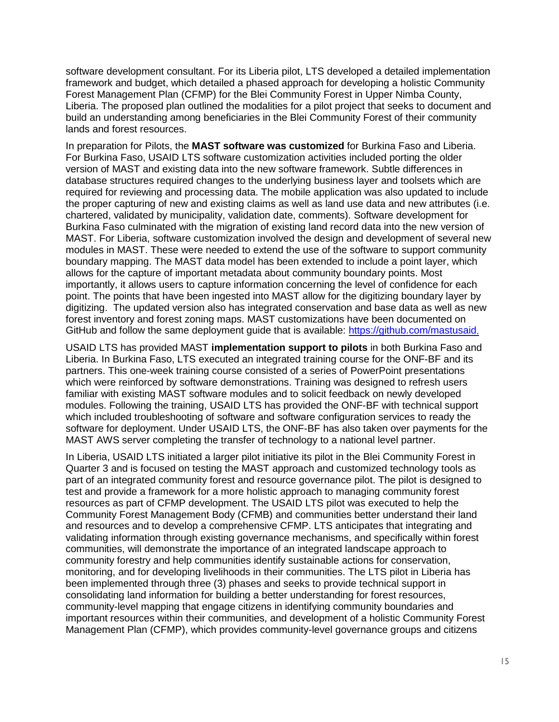software development consultant. For its Liberia pilot, LTS developed a detailed implementation framework and budget, which detailed a phased approach for developing a holistic Community Forest Management Plan (CFMP) for the Blei Community Forest in Upper Nimba County, Liberia. The proposed plan outlined the modalities for a pilot project that seeks to document and build an understanding among beneficiaries in the Blei Community Forest of their community lands and forest resources.

In preparation for Pilots, the **MAST software was customized** for Burkina Faso and Liberia. For Burkina Faso, USAID LTS software customization activities included porting the older version of MAST and existing data into the new software framework. Subtle differences in database structures required changes to the underlying business layer and toolsets which are required for reviewing and processing data. The mobile application was also updated to include the proper capturing of new and existing claims as well as land use data and new attributes (i.e. chartered, validated by municipality, validation date, comments). Software development for Burkina Faso culminated with the migration of existing land record data into the new version of MAST. For Liberia, software customization involved the design and development of several new modules in MAST. These were needed to extend the use of the software to support community boundary mapping. The MAST data model has been extended to include a point layer, which allows for the capture of important metadata about community boundary points. Most importantly, it allows users to capture information concerning the level of confidence for each point. The points that have been ingested into MAST allow for the digitizing boundary layer by digitizing. The updated version also has integrated conservation and base data as well as new forest inventory and forest zoning maps. MAST customizations have been documented on GitHub and follow the same deployment guide that is available: [https://github.com/mastusaid.](https://github.com/mastusaid)

USAID LTS has provided MAST **implementation support to pilots** in both Burkina Faso and Liberia. In Burkina Faso, LTS executed an integrated training course for the ONF-BF and its partners. This one-week training course consisted of a series of PowerPoint presentations which were reinforced by software demonstrations. Training was designed to refresh users familiar with existing MAST software modules and to solicit feedback on newly developed modules. Following the training, USAID LTS has provided the ONF-BF with technical support which included troubleshooting of software and software configuration services to ready the software for deployment. Under USAID LTS, the ONF-BF has also taken over payments for the MAST AWS server completing the transfer of technology to a national level partner.

In Liberia, USAID LTS initiated a larger pilot initiative its pilot in the Blei Community Forest in Quarter 3 and is focused on testing the MAST approach and customized technology tools as part of an integrated community forest and resource governance pilot. The pilot is designed to test and provide a framework for a more holistic approach to managing community forest resources as part of CFMP development. The USAID LTS pilot was executed to help the Community Forest Management Body (CFMB) and communities better understand their land and resources and to develop a comprehensive CFMP. LTS anticipates that integrating and validating information through existing governance mechanisms, and specifically within forest communities, will demonstrate the importance of an integrated landscape approach to community forestry and help communities identify sustainable actions for conservation, monitoring, and for developing livelihoods in their communities. The LTS pilot in Liberia has been implemented through three (3) phases and seeks to provide technical support in consolidating land information for building a better understanding for forest resources, community-level mapping that engage citizens in identifying community boundaries and important resources within their communities, and development of a holistic Community Forest Management Plan (CFMP), which provides community-level governance groups and citizens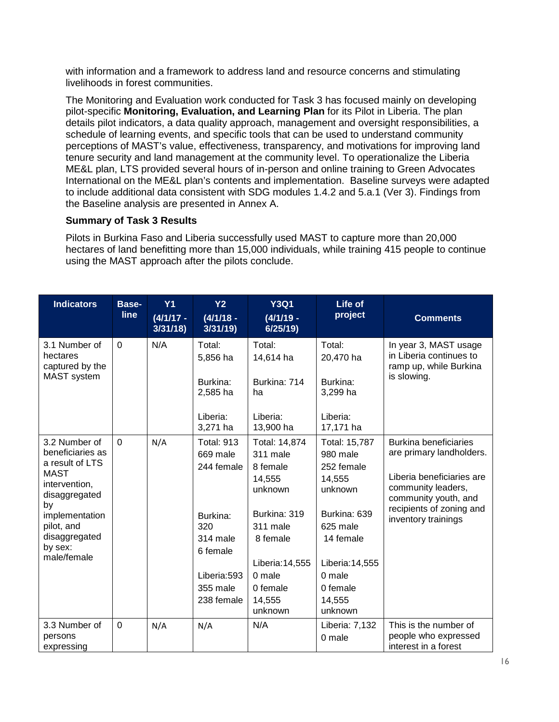with information and a framework to address land and resource concerns and stimulating livelihoods in forest communities.

The Monitoring and Evaluation work conducted for Task 3 has focused mainly on developing pilot-specific **Monitoring, Evaluation, and Learning Plan** for its Pilot in Liberia. The plan details pilot indicators, a data quality approach, management and oversight responsibilities, a schedule of learning events, and specific tools that can be used to understand community perceptions of MAST's value, effectiveness, transparency, and motivations for improving land tenure security and land management at the community level. To operationalize the Liberia ME&L plan, LTS provided several hours of in-person and online training to Green Advocates International on the ME&L plan's contents and implementation. Baseline surveys were adapted to include additional data consistent with SDG modules 1.4.2 and 5.a.1 (Ver 3). Findings from the Baseline analysis are presented in Annex A.

#### **Summary of Task 3 Results**

Pilots in Burkina Faso and Liberia successfully used MAST to capture more than 20,000 hectares of land benefitting more than 15,000 individuals, while training 415 people to continue using the MAST approach after the pilots conclude.

| <b>Indicators</b>                                                                                                                                                                      | <b>Base-</b><br><b>line</b> | Y1<br>$(4/1/17 -$<br>3/31/18 | Y <sub>2</sub><br>$(4/1/18 -$<br>3/31/19                                                                                                      | <b>Y3Q1</b><br>$(4/1/19 -$<br>6/25/19                                                                                                                            | Life of<br>project                                                                                                                                                  | <b>Comments</b>                                                                                                                                                                 |
|----------------------------------------------------------------------------------------------------------------------------------------------------------------------------------------|-----------------------------|------------------------------|-----------------------------------------------------------------------------------------------------------------------------------------------|------------------------------------------------------------------------------------------------------------------------------------------------------------------|---------------------------------------------------------------------------------------------------------------------------------------------------------------------|---------------------------------------------------------------------------------------------------------------------------------------------------------------------------------|
| 3.1 Number of<br>hectares<br>captured by the<br><b>MAST</b> system                                                                                                                     | 0                           |                              | N/A<br>Total:<br>Total:<br>Total:<br>20,470 ha<br>5,856 ha<br>14,614 ha<br>Burkina: 714<br>Burkina:<br>Burkina:<br>3,299 ha<br>2,585 ha<br>ha |                                                                                                                                                                  | In year 3, MAST usage<br>in Liberia continues to<br>ramp up, while Burkina<br>is slowing.                                                                           |                                                                                                                                                                                 |
|                                                                                                                                                                                        |                             |                              | Liberia:<br>3,271 ha                                                                                                                          | Liberia:<br>13,900 ha                                                                                                                                            | Liberia:<br>17,171 ha                                                                                                                                               |                                                                                                                                                                                 |
| 3.2 Number of<br>beneficiaries as<br>a result of LTS<br><b>MAST</b><br>intervention,<br>disaggregated<br>by<br>implementation<br>pilot, and<br>disaggregated<br>by sex:<br>male/female | $\Omega$                    | N/A                          | <b>Total: 913</b><br>669 male<br>244 female<br>Burkina:<br>320<br>314 male<br>6 female<br>Liberia:593<br>355 male<br>238 female               | Total: 14,874<br>311 male<br>8 female<br>14,555<br>unknown<br>Burkina: 319<br>311 male<br>8 female<br>Liberia: 14,555<br>0 male<br>0 female<br>14,555<br>unknown | Total: 15,787<br>980 male<br>252 female<br>14,555<br>unknown<br>Burkina: 639<br>625 male<br>14 female<br>Liberia: 14,555<br>0 male<br>0 female<br>14,555<br>unknown | Burkina beneficiaries<br>are primary landholders.<br>Liberia beneficiaries are<br>community leaders,<br>community youth, and<br>recipients of zoning and<br>inventory trainings |
| 3.3 Number of<br>persons<br>expressing                                                                                                                                                 | $\mathbf 0$                 | N/A                          | N/A                                                                                                                                           | N/A                                                                                                                                                              | Liberia: 7,132<br>0 male                                                                                                                                            | This is the number of<br>people who expressed<br>interest in a forest                                                                                                           |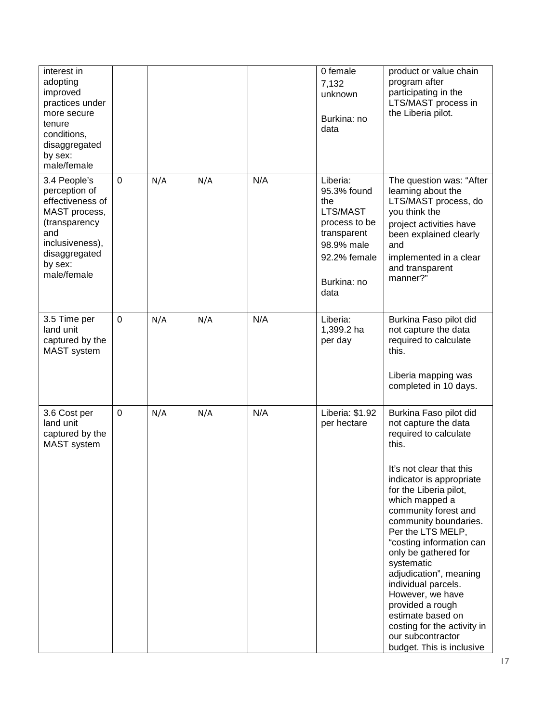| interest in<br>adopting<br>improved<br>practices under<br>more secure<br>tenure<br>conditions,<br>disaggregated<br>by sex:<br>male/female                |                |     |     |     | 0 female<br>7,132<br>unknown<br>Burkina: no<br>data                                                                             | product or value chain<br>program after<br>participating in the<br>LTS/MAST process in<br>the Liberia pilot.                                                                                                                                                                                                                                                                                                                                                                                                                |
|----------------------------------------------------------------------------------------------------------------------------------------------------------|----------------|-----|-----|-----|---------------------------------------------------------------------------------------------------------------------------------|-----------------------------------------------------------------------------------------------------------------------------------------------------------------------------------------------------------------------------------------------------------------------------------------------------------------------------------------------------------------------------------------------------------------------------------------------------------------------------------------------------------------------------|
| 3.4 People's<br>perception of<br>effectiveness of<br>MAST process,<br>(transparency<br>and<br>inclusiveness),<br>disaggregated<br>by sex:<br>male/female | $\mathbf 0$    | N/A | N/A | N/A | Liberia:<br>95.3% found<br>the<br>LTS/MAST<br>process to be<br>transparent<br>98.9% male<br>92.2% female<br>Burkina: no<br>data | The question was: "After<br>learning about the<br>LTS/MAST process, do<br>you think the<br>project activities have<br>been explained clearly<br>and<br>implemented in a clear<br>and transparent<br>manner?"                                                                                                                                                                                                                                                                                                                |
| 3.5 Time per<br>land unit<br>captured by the<br><b>MAST</b> system                                                                                       | $\overline{0}$ | N/A | N/A | N/A | Liberia:<br>1,399.2 ha<br>per day                                                                                               | Burkina Faso pilot did<br>not capture the data<br>required to calculate<br>this.<br>Liberia mapping was<br>completed in 10 days.                                                                                                                                                                                                                                                                                                                                                                                            |
| 3.6 Cost per<br>land unit<br>captured by the<br><b>MAST</b> system                                                                                       | 0              | N/A | N/A | N/A | Liberia: \$1.92<br>per hectare                                                                                                  | Burkina Faso pilot did<br>not capture the data<br>required to calculate<br>this.<br>It's not clear that this<br>indicator is appropriate<br>for the Liberia pilot,<br>which mapped a<br>community forest and<br>community boundaries.<br>Per the LTS MELP,<br>"costing information can<br>only be gathered for<br>systematic<br>adjudication", meaning<br>individual parcels.<br>However, we have<br>provided a rough<br>estimate based on<br>costing for the activity in<br>our subcontractor<br>budget. This is inclusive |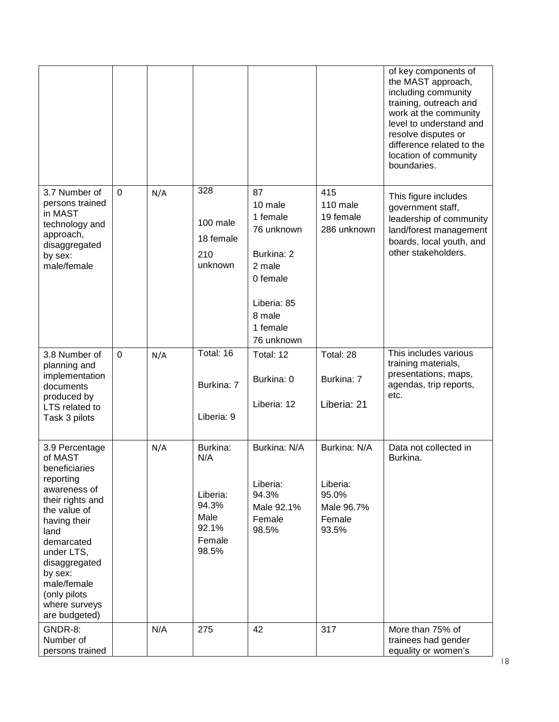|                                                                                                                                                                                                                                                              |                |     |                                                                          |                                                                                                                                |                                                                    | of key components of<br>the MAST approach,<br>including community<br>training, outreach and<br>work at the community<br>level to understand and<br>resolve disputes or<br>difference related to the<br>location of community<br>boundaries. |
|--------------------------------------------------------------------------------------------------------------------------------------------------------------------------------------------------------------------------------------------------------------|----------------|-----|--------------------------------------------------------------------------|--------------------------------------------------------------------------------------------------------------------------------|--------------------------------------------------------------------|---------------------------------------------------------------------------------------------------------------------------------------------------------------------------------------------------------------------------------------------|
| 3.7 Number of<br>persons trained<br>in MAST<br>technology and<br>approach,<br>disaggregated<br>by sex:<br>male/female                                                                                                                                        | $\overline{0}$ | N/A | 328<br>100 male<br>18 female<br>210<br>unknown                           | 87<br>10 male<br>1 female<br>76 unknown<br>Burkina: 2<br>2 male<br>0 female<br>Liberia: 85<br>8 male<br>1 female<br>76 unknown | 415<br>110 male<br>19 female<br>286 unknown                        | This figure includes<br>government staff,<br>leadership of community<br>land/forest management<br>boards, local youth, and<br>other stakeholders.                                                                                           |
| 3.8 Number of<br>planning and<br>implementation<br>documents<br>produced by<br>LTS related to<br>Task 3 pilots                                                                                                                                               | $\overline{0}$ | N/A | Total: 16<br>Burkina: 7<br>Liberia: 9                                    | Total: 12<br>Burkina: 0<br>Liberia: 12                                                                                         | Total: 28<br>Burkina: 7<br>Liberia: 21                             | This includes various<br>training materials,<br>presentations, maps,<br>agendas, trip reports,<br>etc.                                                                                                                                      |
| 3.9 Percentage<br>of MAST<br>beneficiaries<br>reporting<br>awareness of<br>their rights and<br>the value of<br>having their<br>land<br>demarcated<br>under LTS,<br>disaggregated<br>by sex:<br>male/female<br>(only pilots<br>where surveys<br>are budgeted) |                | N/A | Burkina:<br>N/A<br>Liberia:<br>94.3%<br>Male<br>92.1%<br>Female<br>98.5% | Burkina: N/A<br>Liberia:<br>94.3%<br>Male 92.1%<br>Female<br>98.5%                                                             | Burkina: N/A<br>Liberia:<br>95.0%<br>Male 96.7%<br>Female<br>93.5% | Data not collected in<br>Burkina.                                                                                                                                                                                                           |
| GNDR-8:<br>Number of<br>persons trained                                                                                                                                                                                                                      |                | N/A | 275                                                                      | 42                                                                                                                             | 317                                                                | More than 75% of<br>trainees had gender<br>equality or women's                                                                                                                                                                              |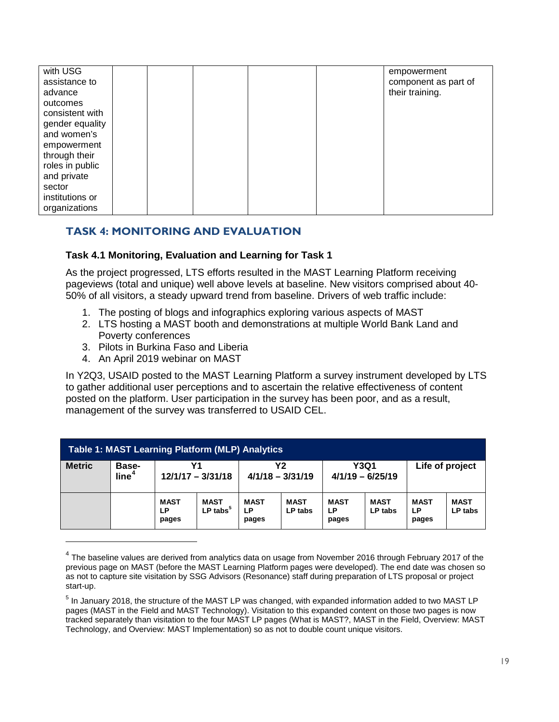| with USG        |  |  | empowerment          |
|-----------------|--|--|----------------------|
| assistance to   |  |  | component as part of |
| advance         |  |  | their training.      |
| outcomes        |  |  |                      |
| consistent with |  |  |                      |
| gender equality |  |  |                      |
| and women's     |  |  |                      |
| empowerment     |  |  |                      |
| through their   |  |  |                      |
| roles in public |  |  |                      |
| and private     |  |  |                      |
| sector          |  |  |                      |
| institutions or |  |  |                      |
| organizations   |  |  |                      |
|                 |  |  |                      |

### **TASK 4: MONITORING AND EVALUATION**

#### **Task 4.1 Monitoring, Evaluation and Learning for Task 1**

As the project progressed, LTS efforts resulted in the MAST Learning Platform receiving pageviews (total and unique) well above levels at baseline. New visitors comprised about 40- 50% of all visitors, a steady upward trend from baseline. Drivers of web traffic include:

- 1. The posting of blogs and infographics exploring various aspects of MAST
- 2. LTS hosting a MAST booth and demonstrations at multiple World Bank Land and Poverty conferences
- 3. Pilots in Burkina Faso and Liberia
- 4. An April 2019 webinar on MAST

 $\overline{a}$ 

In Y2Q3, USAID posted to the MAST Learning Platform a survey instrument developed by LTS to gather additional user perceptions and to ascertain the relative effectiveness of content posted on the platform. User participation in the survey has been poor, and as a result, management of the survey was transferred to USAID CEL.

| <b>Table 1: MAST Learning Platform (MLP) Analytics</b> |                                   |                             |                                       |                            |                        |                                   |                        |                            |                        |  |
|--------------------------------------------------------|-----------------------------------|-----------------------------|---------------------------------------|----------------------------|------------------------|-----------------------------------|------------------------|----------------------------|------------------------|--|
| <b>Metric</b>                                          | <b>Base-</b><br>line <sup>4</sup> | Y1<br>$12/1/17 - 3/31/18$   |                                       | Υ2<br>$4/1/18 - 3/31/19$   |                        | <b>Y3Q1</b><br>$4/1/19 - 6/25/19$ |                        | Life of project            |                        |  |
|                                                        |                                   | <b>MAST</b><br>LP.<br>pages | <b>MAST</b><br>$LP$ tabs <sup>5</sup> | <b>MAST</b><br>LР<br>pages | <b>MAST</b><br>LP tabs | <b>MAST</b><br>LP<br>pages        | <b>MAST</b><br>LP tabs | <b>MAST</b><br>LP<br>pages | <b>MAST</b><br>LP tabs |  |

<span id="page-18-0"></span> $<sup>4</sup>$  The baseline values are derived from analytics data on usage from November 2016 through February 2017 of the</sup> previous page on MAST (before the MAST Learning Platform pages were developed). The end date was chosen so as not to capture site visitation by SSG Advisors (Resonance) staff during preparation of LTS proposal or project start-up.

<span id="page-18-1"></span><sup>&</sup>lt;sup>5</sup> In January 2018, the structure of the MAST LP was changed, with expanded information added to two MAST LP pages (MAST in the Field and MAST Technology). Visitation to this expanded content on those two pages is now tracked separately than visitation to the four MAST LP pages (What is MAST?, MAST in the Field, Overview: MAST Technology, and Overview: MAST Implementation) so as not to double count unique visitors.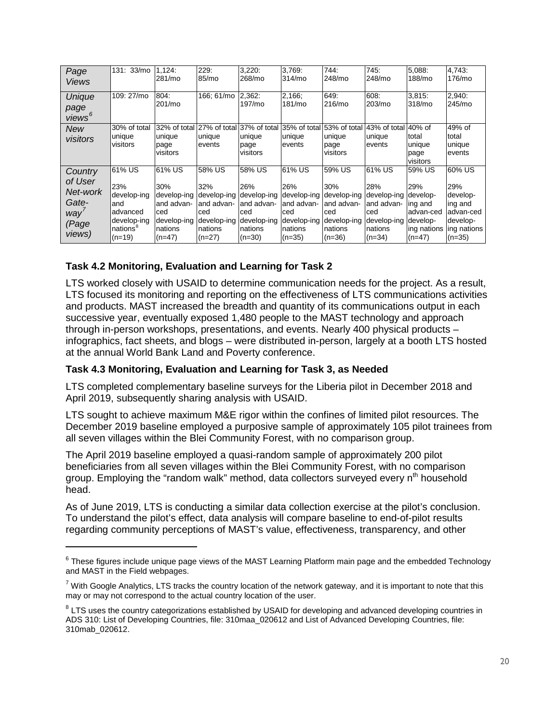| Page<br><b>Views</b>                                               | 131: 33/mo                                                                                       | 1,124:<br>281/mo                                                                        | 229:<br>85/mo                                                                           | 3,220:<br>268/mo                                                                         | 3.769:<br>314/mo                                                                        | 744:<br>248/mo                                                                          | 745:<br>248/mo                                                                                            | 5,088:<br>188/mo                                                 | 4.743:<br>176/mo                                                                         |
|--------------------------------------------------------------------|--------------------------------------------------------------------------------------------------|-----------------------------------------------------------------------------------------|-----------------------------------------------------------------------------------------|------------------------------------------------------------------------------------------|-----------------------------------------------------------------------------------------|-----------------------------------------------------------------------------------------|-----------------------------------------------------------------------------------------------------------|------------------------------------------------------------------|------------------------------------------------------------------------------------------|
| Unique<br>page<br>views <sup>6</sup>                               | 109: 27/mo                                                                                       | 804:<br>201/mo                                                                          | 166; 61/mo                                                                              | 2,362:<br>197/mo                                                                         | 2,166;<br>181/mo                                                                        | 649:<br>216/mo                                                                          | 608:<br>203/m <sub>o</sub>                                                                                | 3,815.<br>318/mo                                                 | 2,940:<br>245/mo                                                                         |
| <b>New</b><br>visitors                                             | 30% of total<br>unique<br>visitors                                                               | 32% of total 27% of total<br>unique<br>page<br>visitors                                 | unique<br>events                                                                        | 37% of total<br>unique<br>page<br>visitors                                               | 35% of total<br>unique<br>events                                                        | unique<br>page<br>visitors                                                              | 53% of total 43% of total 40% of<br>unique<br>events                                                      | total<br>unique<br>page<br>visitors                              | 49% of<br>total<br>unique<br>events                                                      |
| Country<br>of User<br>Net-work<br>Gate-<br>way'<br>(Page<br>views) | 61% US<br>23%<br>develop-ing<br>and<br>advanced<br>develop-ing<br>nations <sup>8</sup><br>(n=19) | 61% US<br>30%<br>develop-ing<br>and advan-<br>ced<br>develop-ing<br>nations<br>$(n=47)$ | 58% US<br>32%<br>develop-ing<br>and advan-<br>ced<br>develop-ing<br>nations<br>$(n=27)$ | 58% US<br>26%<br>develop-ing<br>and advan-<br>lced<br>develop-ing<br>nations<br>$(n=30)$ | 61% US<br>26%<br>develop-ing<br>and advan-<br>ced<br>develop-ing<br>nations<br>$(n=35)$ | 59% US<br>30%<br>develop-ing<br>and advan-<br>ced<br>develop-ing<br>nations<br>$(n=36)$ | 61% US<br>28%<br>develop-ing develop-<br>and advan-<br>ced<br>develop-ing develop-<br>nations<br>$(n=34)$ | 59% US<br>29%<br>ing and<br>advan-ced<br>ing nations<br>$(n=47)$ | 60% US<br>29%<br>develop-<br>ing and<br>advan-ced<br>develop-<br>ing nations<br>$(n=35)$ |

### **Task 4.2 Monitoring, Evaluation and Learning for Task 2**

 $\overline{a}$ 

LTS worked closely with USAID to determine communication needs for the project. As a result, LTS focused its monitoring and reporting on the effectiveness of LTS communications activities and products. MAST increased the breadth and quantity of its communications output in each successive year, eventually exposed 1,480 people to the MAST technology and approach through in-person workshops, presentations, and events. Nearly 400 physical products – infographics, fact sheets, and blogs – were distributed in-person, largely at a booth LTS hosted at the annual World Bank Land and Poverty conference.

#### **Task 4.3 Monitoring, Evaluation and Learning for Task 3, as Needed**

LTS completed complementary baseline surveys for the Liberia pilot in December 2018 and April 2019, subsequently sharing analysis with USAID.

LTS sought to achieve maximum M&E rigor within the confines of limited pilot resources. The December 2019 baseline employed a purposive sample of approximately 105 pilot trainees from all seven villages within the Blei Community Forest, with no comparison group.

The April 2019 baseline employed a quasi-random sample of approximately 200 pilot beneficiaries from all seven villages within the Blei Community Forest, with no comparison group. Employing the "random walk" method, data collectors surveyed every n<sup>th</sup> household head.

As of June 2019, LTS is conducting a similar data collection exercise at the pilot's conclusion. To understand the pilot's effect, data analysis will compare baseline to end-of-pilot results regarding community perceptions of MAST's value, effectiveness, transparency, and other

<span id="page-19-0"></span><sup>&</sup>lt;sup>6</sup> These figures include unique page views of the MAST Learning Platform main page and the embedded Technology and MAST in the Field webpages.

<span id="page-19-1"></span> $^7$  With Google Analytics, LTS tracks the country location of the network gateway, and it is important to note that this may or may not correspond to the actual country location of the user.

<span id="page-19-2"></span> $8$  LTS uses the country categorizations established by USAID for developing and advanced developing countries in ADS 310: List of Developing Countries, file: 310maa\_020612 and List of Advanced Developing Countries, file: 310mab\_020612.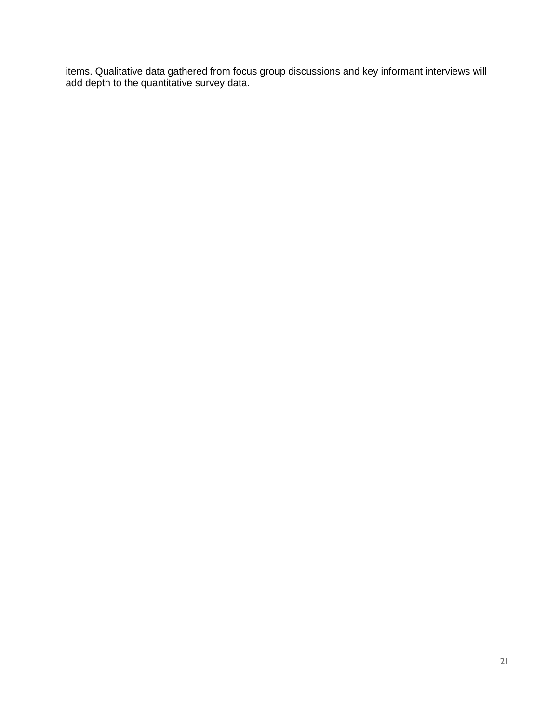items. Qualitative data gathered from focus group discussions and key informant interviews will add depth to the quantitative survey data.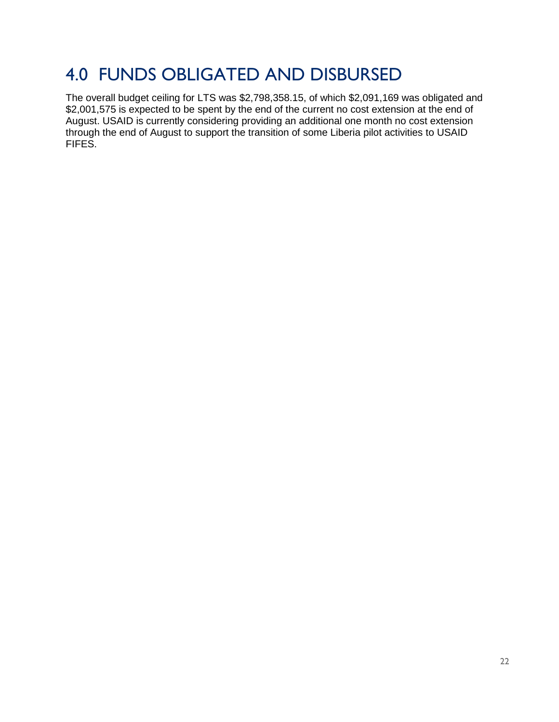### 4.0 FUNDS OBLIGATED AND DISBURSED

The overall budget ceiling for LTS was \$2,798,358.15, of which \$2,091,169 was obligated and \$2,001,575 is expected to be spent by the end of the current no cost extension at the end of August. USAID is currently considering providing an additional one month no cost extension through the end of August to support the transition of some Liberia pilot activities to USAID FIFES.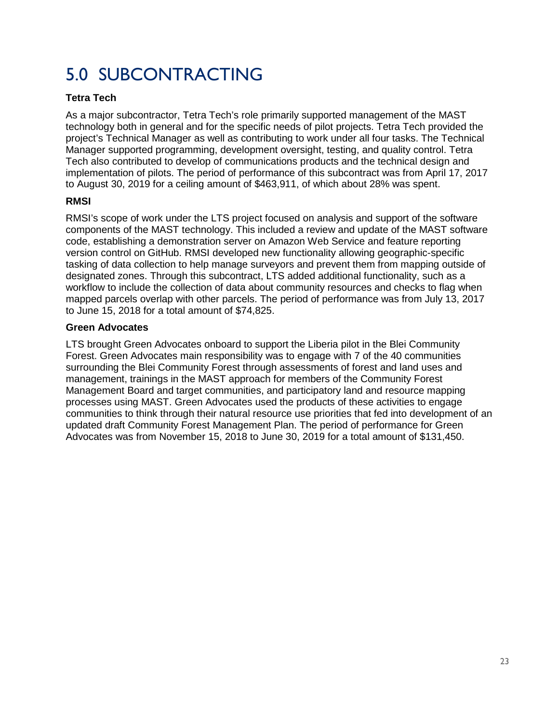## 5.0 SUBCONTRACTING

### **Tetra Tech**

As a major subcontractor, Tetra Tech's role primarily supported management of the MAST technology both in general and for the specific needs of pilot projects. Tetra Tech provided the project's Technical Manager as well as contributing to work under all four tasks. The Technical Manager supported programming, development oversight, testing, and quality control. Tetra Tech also contributed to develop of communications products and the technical design and implementation of pilots. The period of performance of this subcontract was from April 17, 2017 to August 30, 2019 for a ceiling amount of \$463,911, of which about 28% was spent.

### **RMSI**

RMSI's scope of work under the LTS project focused on analysis and support of the software components of the MAST technology. This included a review and update of the MAST software code, establishing a demonstration server on Amazon Web Service and feature reporting version control on GitHub. RMSI developed new functionality allowing geographic-specific tasking of data collection to help manage surveyors and prevent them from mapping outside of designated zones. Through this subcontract, LTS added additional functionality, such as a workflow to include the collection of data about community resources and checks to flag when mapped parcels overlap with other parcels. The period of performance was from July 13, 2017 to June 15, 2018 for a total amount of \$74,825.

### **Green Advocates**

LTS brought Green Advocates onboard to support the Liberia pilot in the Blei Community Forest. Green Advocates main responsibility was to engage with 7 of the 40 communities surrounding the Blei Community Forest through assessments of forest and land uses and management, trainings in the MAST approach for members of the Community Forest Management Board and target communities, and participatory land and resource mapping processes using MAST. Green Advocates used the products of these activities to engage communities to think through their natural resource use priorities that fed into development of an updated draft Community Forest Management Plan. The period of performance for Green Advocates was from November 15, 2018 to June 30, 2019 for a total amount of \$131,450.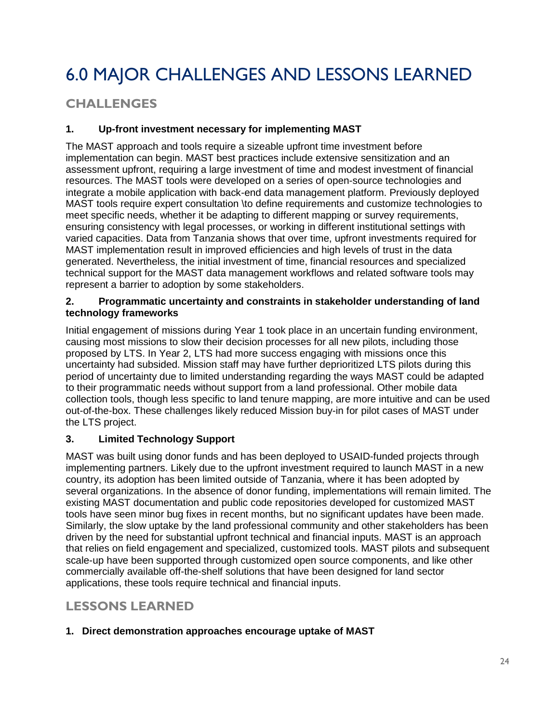# 6.0 MAJOR CHALLENGES AND LESSONS LEARNED

### **CHALLENGES**

### **1. Up-front investment necessary for implementing MAST**

The MAST approach and tools require a sizeable upfront time investment before implementation can begin. MAST best practices include extensive sensitization and an assessment upfront, requiring a large investment of time and modest investment of financial resources. The MAST tools were developed on a series of open-source technologies and integrate a mobile application with back-end data management platform. Previously deployed MAST tools require expert consultation \to define requirements and customize technologies to meet specific needs, whether it be adapting to different mapping or survey requirements, ensuring consistency with legal processes, or working in different institutional settings with varied capacities. Data from Tanzania shows that over time, upfront investments required for MAST implementation result in improved efficiencies and high levels of trust in the data generated. Nevertheless, the initial investment of time, financial resources and specialized technical support for the MAST data management workflows and related software tools may represent a barrier to adoption by some stakeholders.

#### **2. Programmatic uncertainty and constraints in stakeholder understanding of land technology frameworks**

Initial engagement of missions during Year 1 took place in an uncertain funding environment, causing most missions to slow their decision processes for all new pilots, including those proposed by LTS. In Year 2, LTS had more success engaging with missions once this uncertainty had subsided. Mission staff may have further deprioritized LTS pilots during this period of uncertainty due to limited understanding regarding the ways MAST could be adapted to their programmatic needs without support from a land professional. Other mobile data collection tools, though less specific to land tenure mapping, are more intuitive and can be used out-of-the-box. These challenges likely reduced Mission buy-in for pilot cases of MAST under the LTS project.

### **3. Limited Technology Support**

MAST was built using donor funds and has been deployed to USAID-funded projects through implementing partners. Likely due to the upfront investment required to launch MAST in a new country, its adoption has been limited outside of Tanzania, where it has been adopted by several organizations. In the absence of donor funding, implementations will remain limited. The existing MAST documentation and public code repositories developed for customized MAST tools have seen minor bug fixes in recent months, but no significant updates have been made. Similarly, the slow uptake by the land professional community and other stakeholders has been driven by the need for substantial upfront technical and financial inputs. MAST is an approach that relies on field engagement and specialized, customized tools. MAST pilots and subsequent scale-up have been supported through customized open source components, and like other commercially available off-the-shelf solutions that have been designed for land sector applications, these tools require technical and financial inputs.

### **LESSONS LEARNED**

### **1. Direct demonstration approaches encourage uptake of MAST**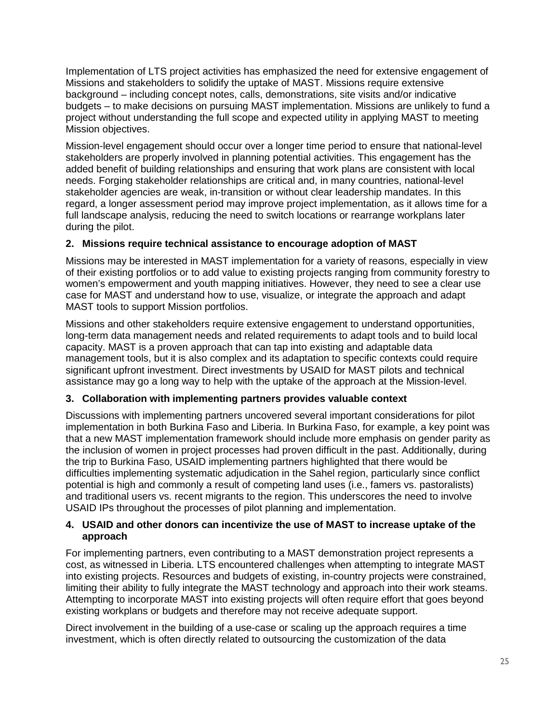Implementation of LTS project activities has emphasized the need for extensive engagement of Missions and stakeholders to solidify the uptake of MAST. Missions require extensive background – including concept notes, calls, demonstrations, site visits and/or indicative budgets – to make decisions on pursuing MAST implementation. Missions are unlikely to fund a project without understanding the full scope and expected utility in applying MAST to meeting Mission objectives.

Mission-level engagement should occur over a longer time period to ensure that national-level stakeholders are properly involved in planning potential activities. This engagement has the added benefit of building relationships and ensuring that work plans are consistent with local needs. Forging stakeholder relationships are critical and, in many countries, national-level stakeholder agencies are weak, in-transition or without clear leadership mandates. In this regard, a longer assessment period may improve project implementation, as it allows time for a full landscape analysis, reducing the need to switch locations or rearrange workplans later during the pilot.

### **2. Missions require technical assistance to encourage adoption of MAST**

Missions may be interested in MAST implementation for a variety of reasons, especially in view of their existing portfolios or to add value to existing projects ranging from community forestry to women's empowerment and youth mapping initiatives. However, they need to see a clear use case for MAST and understand how to use, visualize, or integrate the approach and adapt MAST tools to support Mission portfolios.

Missions and other stakeholders require extensive engagement to understand opportunities, long-term data management needs and related requirements to adapt tools and to build local capacity. MAST is a proven approach that can tap into existing and adaptable data management tools, but it is also complex and its adaptation to specific contexts could require significant upfront investment. Direct investments by USAID for MAST pilots and technical assistance may go a long way to help with the uptake of the approach at the Mission-level.

### **3. Collaboration with implementing partners provides valuable context**

Discussions with implementing partners uncovered several important considerations for pilot implementation in both Burkina Faso and Liberia. In Burkina Faso, for example, a key point was that a new MAST implementation framework should include more emphasis on gender parity as the inclusion of women in project processes had proven difficult in the past. Additionally, during the trip to Burkina Faso, USAID implementing partners highlighted that there would be difficulties implementing systematic adjudication in the Sahel region, particularly since conflict potential is high and commonly a result of competing land uses (i.e., famers vs. pastoralists) and traditional users vs. recent migrants to the region. This underscores the need to involve USAID IPs throughout the processes of pilot planning and implementation.

#### **4. USAID and other donors can incentivize the use of MAST to increase uptake of the approach**

For implementing partners, even contributing to a MAST demonstration project represents a cost, as witnessed in Liberia. LTS encountered challenges when attempting to integrate MAST into existing projects. Resources and budgets of existing, in-country projects were constrained, limiting their ability to fully integrate the MAST technology and approach into their work steams. Attempting to incorporate MAST into existing projects will often require effort that goes beyond existing workplans or budgets and therefore may not receive adequate support.

Direct involvement in the building of a use-case or scaling up the approach requires a time investment, which is often directly related to outsourcing the customization of the data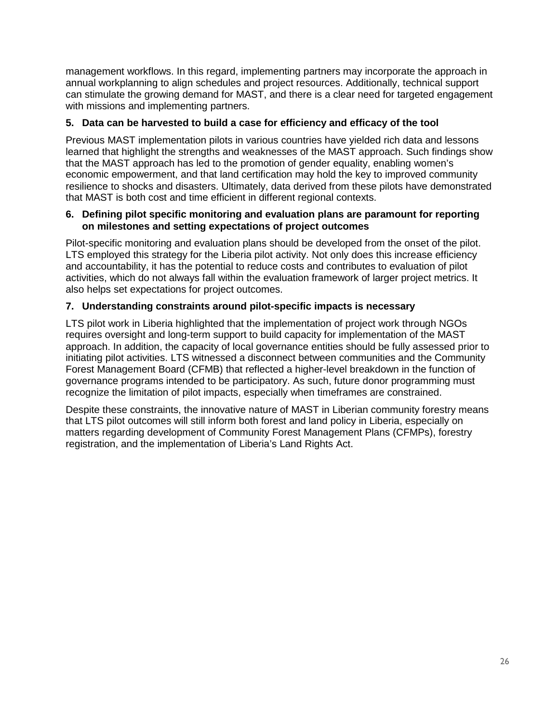management workflows. In this regard, implementing partners may incorporate the approach in annual workplanning to align schedules and project resources. Additionally, technical support can stimulate the growing demand for MAST, and there is a clear need for targeted engagement with missions and implementing partners.

#### **5. Data can be harvested to build a case for efficiency and efficacy of the tool**

Previous MAST implementation pilots in various countries have yielded rich data and lessons learned that highlight the strengths and weaknesses of the MAST approach. Such findings show that the MAST approach has led to the promotion of gender equality, enabling women's economic empowerment, and that land certification may hold the key to improved community resilience to shocks and disasters. Ultimately, data derived from these pilots have demonstrated that MAST is both cost and time efficient in different regional contexts.

#### **6. Defining pilot specific monitoring and evaluation plans are paramount for reporting on milestones and setting expectations of project outcomes**

Pilot-specific monitoring and evaluation plans should be developed from the onset of the pilot. LTS employed this strategy for the Liberia pilot activity. Not only does this increase efficiency and accountability, it has the potential to reduce costs and contributes to evaluation of pilot activities, which do not always fall within the evaluation framework of larger project metrics. It also helps set expectations for project outcomes.

### **7. Understanding constraints around pilot-specific impacts is necessary**

LTS pilot work in Liberia highlighted that the implementation of project work through NGOs requires oversight and long-term support to build capacity for implementation of the MAST approach. In addition, the capacity of local governance entities should be fully assessed prior to initiating pilot activities. LTS witnessed a disconnect between communities and the Community Forest Management Board (CFMB) that reflected a higher-level breakdown in the function of governance programs intended to be participatory. As such, future donor programming must recognize the limitation of pilot impacts, especially when timeframes are constrained.

Despite these constraints, the innovative nature of MAST in Liberian community forestry means that LTS pilot outcomes will still inform both forest and land policy in Liberia, especially on matters regarding development of Community Forest Management Plans (CFMPs), forestry registration, and the implementation of Liberia's Land Rights Act.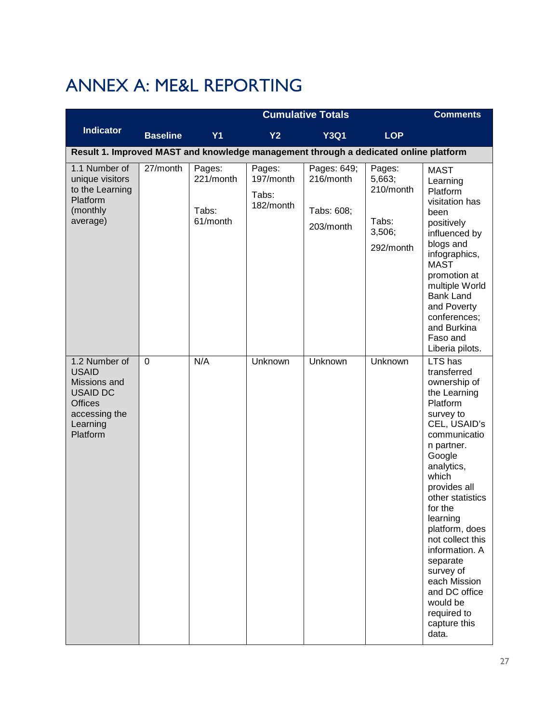# ANNEX A: ME&L REPORTING

|                                                                                                                             | <b>Cumulative Totals</b> |                                          |                                           |                                                     |                                                               | <b>Comments</b>                                                                                                                                                                                                                                                                                                                                                                                 |
|-----------------------------------------------------------------------------------------------------------------------------|--------------------------|------------------------------------------|-------------------------------------------|-----------------------------------------------------|---------------------------------------------------------------|-------------------------------------------------------------------------------------------------------------------------------------------------------------------------------------------------------------------------------------------------------------------------------------------------------------------------------------------------------------------------------------------------|
| <b>Indicator</b>                                                                                                            | <b>Baseline</b>          | <b>Y1</b>                                | <b>Y2</b>                                 | <b>Y3Q1</b>                                         | <b>LOP</b>                                                    |                                                                                                                                                                                                                                                                                                                                                                                                 |
| Result 1. Improved MAST and knowledge management through a dedicated online platform                                        |                          |                                          |                                           |                                                     |                                                               |                                                                                                                                                                                                                                                                                                                                                                                                 |
| 1.1 Number of<br>unique visitors<br>to the Learning<br>Platform<br>(monthly<br>average)                                     | 27/month                 | Pages:<br>221/month<br>Tabs:<br>61/month | Pages:<br>197/month<br>Tabs:<br>182/month | Pages: 649;<br>216/month<br>Tabs: 608;<br>203/month | Pages:<br>5,663;<br>210/month<br>Tabs:<br>3,506;<br>292/month | <b>MAST</b><br>Learning<br>Platform<br>visitation has<br>been<br>positively<br>influenced by<br>blogs and<br>infographics,<br><b>MAST</b><br>promotion at<br>multiple World<br><b>Bank Land</b><br>and Poverty<br>conferences;<br>and Burkina<br>Faso and<br>Liberia pilots.                                                                                                                    |
| 1.2 Number of<br><b>USAID</b><br>Missions and<br><b>USAID DC</b><br><b>Offices</b><br>accessing the<br>Learning<br>Platform | $\mathbf 0$              | N/A                                      | Unknown                                   | Unknown                                             | Unknown                                                       | LTS has<br>transferred<br>ownership of<br>the Learning<br>Platform<br>survey to<br>CEL, USAID's<br>communicatio<br>n partner.<br>Google<br>analytics,<br>which<br>provides all<br>other statistics<br>for the<br>learning<br>platform, does<br>not collect this<br>information. A<br>separate<br>survey of<br>each Mission<br>and DC office<br>would be<br>required to<br>capture this<br>data. |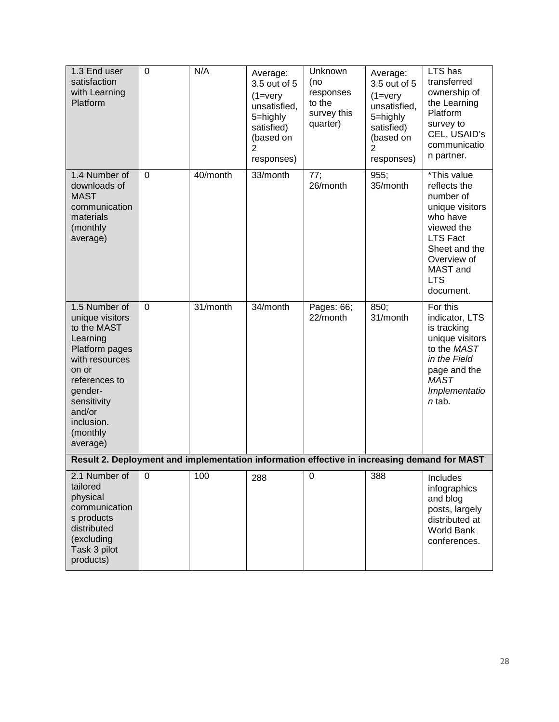| 1.3 End user<br>satisfaction<br>with Learning<br>Platform                                                                                                                                           | $\mathbf 0$ | N/A      | Average:<br>3.5 out of 5<br>$(1 = \text{very})$<br>unsatisfied,<br>5=highly<br>satisfied)<br>(based on<br>2<br>responses) | Unknown<br>(no<br>responses<br>to the<br>survey this<br>quarter) | Average:<br>3.5 out of 5<br>$(1 = v)$<br>unsatisfied,<br>5=highly<br>satisfied)<br>(based on<br>2<br>responses) | $LTS$ has<br>transferred<br>ownership of<br>the Learning<br>Platform<br>survey to<br>CEL, USAID's<br>communicatio<br>n partner.                                                 |
|-----------------------------------------------------------------------------------------------------------------------------------------------------------------------------------------------------|-------------|----------|---------------------------------------------------------------------------------------------------------------------------|------------------------------------------------------------------|-----------------------------------------------------------------------------------------------------------------|---------------------------------------------------------------------------------------------------------------------------------------------------------------------------------|
| 1.4 Number of<br>downloads of<br><b>MAST</b><br>communication<br>materials<br>(monthly<br>average)                                                                                                  | 0           | 40/month | 33/month                                                                                                                  | 77;<br>26/month                                                  | 955;<br>35/month                                                                                                | *This value<br>reflects the<br>number of<br>unique visitors<br>who have<br>viewed the<br><b>LTS Fact</b><br>Sheet and the<br>Overview of<br>MAST and<br><b>LTS</b><br>document. |
| 1.5 Number of<br>unique visitors<br>to the MAST<br>Learning<br>Platform pages<br>with resources<br>on or<br>references to<br>gender-<br>sensitivity<br>and/or<br>inclusion.<br>(monthly<br>average) | $\mathbf 0$ | 31/month | 34/month                                                                                                                  | Pages: 66;<br>22/month                                           | 850;<br>31/month                                                                                                | For this<br>indicator, LTS<br>is tracking<br>unique visitors<br>to the MAST<br>in the Field<br>page and the<br><b>MAST</b><br>Implementatio<br>$n$ tab.                         |
| Result 2. Deployment and implementation information effective in increasing demand for MAST                                                                                                         |             |          |                                                                                                                           |                                                                  |                                                                                                                 |                                                                                                                                                                                 |
| 2.1 Number of<br>tailored<br>physical<br>communication<br>s products<br>distributed<br>(excluding<br>Task 3 pilot<br>products)                                                                      | 0           | 100      | 288                                                                                                                       | 0                                                                | 388                                                                                                             | Includes<br>infographics<br>and blog<br>posts, largely<br>distributed at<br>World Bank<br>conferences.                                                                          |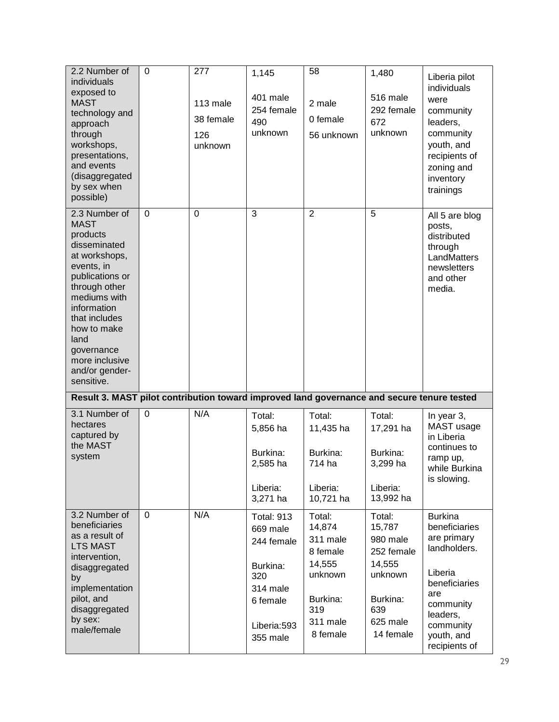| 2.2 Number of<br>individuals<br>exposed to<br><b>MAST</b><br>technology and<br>approach<br>through<br>workshops,<br>presentations,<br>and events<br>(disaggregated<br>by sex when<br>possible)                                                                     | $\Omega$    | 277<br>113 male<br>38 female<br>126<br>unknown | 1,145<br>401 male<br>254 female<br>490<br>unknown                                                                 | 58<br>2 male<br>0 female<br>56 unknown                                                                   | 1,480<br>516 male<br>292 female<br>672<br>unknown                                                           | Liberia pilot<br>individuals<br>were<br>community<br>leaders,<br>community<br>youth, and<br>recipients of<br>zoning and<br>inventory<br>trainings                      |
|--------------------------------------------------------------------------------------------------------------------------------------------------------------------------------------------------------------------------------------------------------------------|-------------|------------------------------------------------|-------------------------------------------------------------------------------------------------------------------|----------------------------------------------------------------------------------------------------------|-------------------------------------------------------------------------------------------------------------|------------------------------------------------------------------------------------------------------------------------------------------------------------------------|
| 2.3 Number of<br><b>MAST</b><br>products<br>disseminated<br>at workshops,<br>events, in<br>publications or<br>through other<br>mediums with<br>information<br>that includes<br>how to make<br>land<br>governance<br>more inclusive<br>and/or gender-<br>sensitive. | $\mathbf 0$ | $\overline{0}$                                 | 3                                                                                                                 | $\overline{2}$                                                                                           | 5                                                                                                           | All 5 are blog<br>posts,<br>distributed<br>through<br>LandMatters<br>newsletters<br>and other<br>media.                                                                |
| Result 3. MAST pilot contribution toward improved land governance and secure tenure tested                                                                                                                                                                         |             |                                                |                                                                                                                   |                                                                                                          |                                                                                                             |                                                                                                                                                                        |
| 3.1 Number of<br>hectares<br>captured by<br>the MAST<br>system                                                                                                                                                                                                     | 0           | N/A                                            | Total:<br>5,856 ha<br>Burkina:<br>2,585 ha                                                                        | Total:<br>11,435 ha<br>Burkina:<br>714 ha                                                                | Total:<br>17,291 ha<br>Burkina:<br>3,299 ha                                                                 | In year 3,<br>MAST usage<br>in Liberia<br>continues to<br>ramp up,<br>while Burkina<br>is slowing.                                                                     |
|                                                                                                                                                                                                                                                                    |             |                                                | Liberia:<br>3,271 ha                                                                                              | Liberia:<br>10,721 ha                                                                                    | Liberia:<br>13,992 ha                                                                                       |                                                                                                                                                                        |
| 3.2 Number of<br>beneficiaries<br>as a result of<br><b>LTS MAST</b><br>intervention,<br>disaggregated<br>by<br>implementation<br>pilot, and<br>disaggregated<br>by sex:<br>male/female                                                                             | $\mathbf 0$ | N/A                                            | <b>Total: 913</b><br>669 male<br>244 female<br>Burkina:<br>320<br>314 male<br>6 female<br>Liberia:593<br>355 male | Total:<br>14,874<br>311 male<br>8 female<br>14,555<br>unknown<br>Burkina:<br>319<br>311 male<br>8 female | Total:<br>15,787<br>980 male<br>252 female<br>14,555<br>unknown<br>Burkina:<br>639<br>625 male<br>14 female | <b>Burkina</b><br>beneficiaries<br>are primary<br>landholders.<br>Liberia<br>beneficiaries<br>are<br>community<br>leaders,<br>community<br>youth, and<br>recipients of |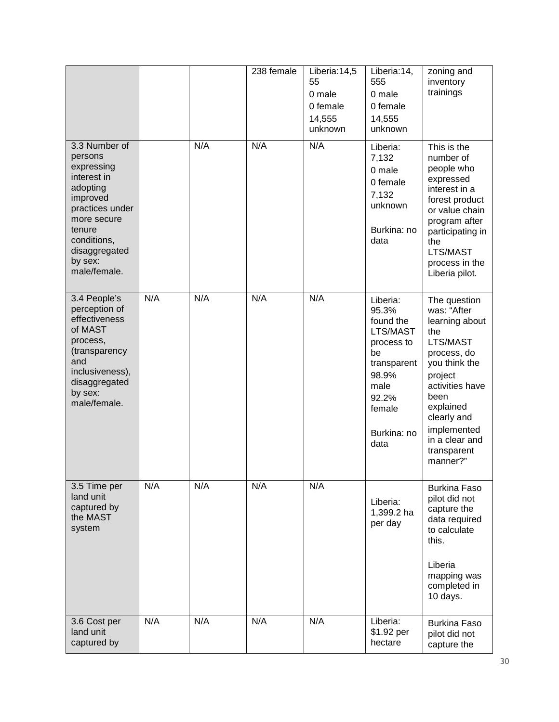|                                                                                                                                                                                      |     |     | 238 female | Liberia: $14,5$<br>55<br>0 male<br>0 female<br>14,555<br>unknown | Liberia: 14,<br>555<br>0 male<br>0 female<br>14,555<br>unknown                                                                           | zoning and<br>inventory<br>trainings                                                                                                                                                                                           |
|--------------------------------------------------------------------------------------------------------------------------------------------------------------------------------------|-----|-----|------------|------------------------------------------------------------------|------------------------------------------------------------------------------------------------------------------------------------------|--------------------------------------------------------------------------------------------------------------------------------------------------------------------------------------------------------------------------------|
| 3.3 Number of<br>persons<br>expressing<br>interest in<br>adopting<br>improved<br>practices under<br>more secure<br>tenure<br>conditions,<br>disaggregated<br>by sex:<br>male/female. |     | N/A | N/A        | N/A                                                              | Liberia:<br>7,132<br>0 male<br>0 female<br>7,132<br>unknown<br>Burkina: no<br>data                                                       | This is the<br>number of<br>people who<br>expressed<br>interest in a<br>forest product<br>or value chain<br>program after<br>participating in<br>the<br>LTS/MAST<br>process in the<br>Liberia pilot.                           |
| 3.4 People's<br>perception of<br>effectiveness<br>of MAST<br>process,<br>(transparency<br>and<br>inclusiveness),<br>disaggregated<br>by sex:<br>male/female.                         | N/A | N/A | N/A        | N/A                                                              | Liberia:<br>95.3%<br>found the<br>LTS/MAST<br>process to<br>be<br>transparent<br>98.9%<br>male<br>92.2%<br>female<br>Burkina: no<br>data | The question<br>was: "After<br>learning about<br>the<br>LTS/MAST<br>process, do<br>you think the<br>project<br>activities have<br>been<br>explained<br>clearly and<br>implemented<br>in a clear and<br>transparent<br>manner?" |
| 3.5 Time per<br>land unit<br>captured by<br>the MAST<br>system                                                                                                                       | N/A | N/A | N/A        | N/A                                                              | Liberia:<br>1,399.2 ha<br>per day                                                                                                        | <b>Burkina Faso</b><br>pilot did not<br>capture the<br>data required<br>to calculate<br>this.<br>Liberia<br>mapping was<br>completed in<br>10 days.                                                                            |
| 3.6 Cost per<br>land unit<br>captured by                                                                                                                                             | N/A | N/A | N/A        | N/A                                                              | Liberia:<br>\$1.92 per<br>hectare                                                                                                        | <b>Burkina Faso</b><br>pilot did not<br>capture the                                                                                                                                                                            |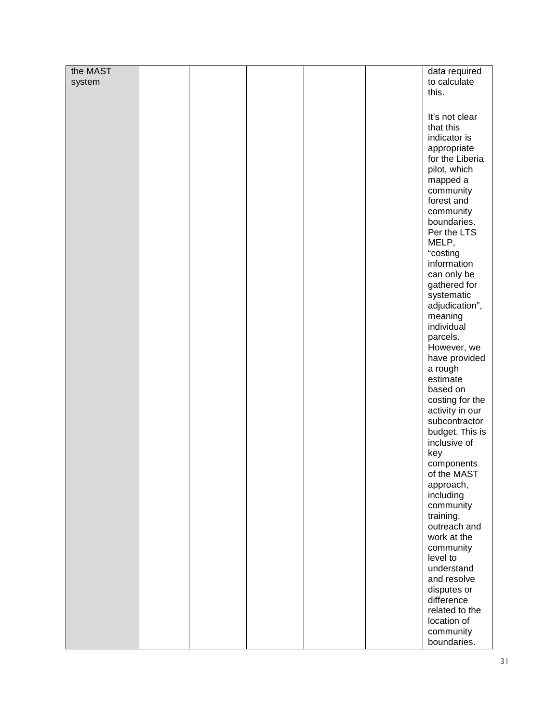| the MAST |  |  | data required   |
|----------|--|--|-----------------|
| system   |  |  | to calculate    |
|          |  |  | this.           |
|          |  |  |                 |
|          |  |  |                 |
|          |  |  | It's not clear  |
|          |  |  | that this       |
|          |  |  | indicator is    |
|          |  |  | appropriate     |
|          |  |  | for the Liberia |
|          |  |  | pilot, which    |
|          |  |  |                 |
|          |  |  | mapped a        |
|          |  |  | community       |
|          |  |  | forest and      |
|          |  |  | community       |
|          |  |  | boundaries.     |
|          |  |  | Per the LTS     |
|          |  |  | MELP,           |
|          |  |  | "costing        |
|          |  |  | information     |
|          |  |  | can only be     |
|          |  |  | gathered for    |
|          |  |  | systematic      |
|          |  |  | adjudication",  |
|          |  |  | meaning         |
|          |  |  | individual      |
|          |  |  | parcels.        |
|          |  |  | However, we     |
|          |  |  |                 |
|          |  |  | have provided   |
|          |  |  | a rough         |
|          |  |  | estimate        |
|          |  |  | based on        |
|          |  |  | costing for the |
|          |  |  | activity in our |
|          |  |  | subcontractor   |
|          |  |  | budget. This is |
|          |  |  | inclusive of    |
|          |  |  | key             |
|          |  |  | components      |
|          |  |  | of the MAST     |
|          |  |  | approach,       |
|          |  |  | including       |
|          |  |  | community       |
|          |  |  | training,       |
|          |  |  | outreach and    |
|          |  |  | work at the     |
|          |  |  | community       |
|          |  |  | level to        |
|          |  |  | understand      |
|          |  |  |                 |
|          |  |  | and resolve     |
|          |  |  | disputes or     |
|          |  |  | difference      |
|          |  |  | related to the  |
|          |  |  | location of     |
|          |  |  | community       |
|          |  |  | boundaries.     |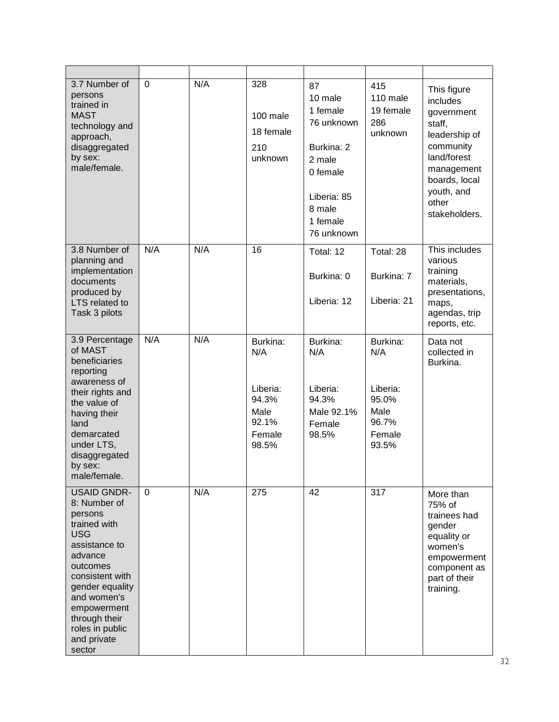| 3.7 Number of<br>persons<br>trained in<br><b>MAST</b><br>technology and<br>approach,<br>disaggregated<br>by sex:<br>male/female.                                                                                                                     | 0        | N/A | 328<br>100 male<br>18 female<br>210<br>unknown                           | 87<br>10 male<br>1 female<br>76 unknown<br>Burkina: 2<br>2 male<br>0 female<br>Liberia: 85<br>8 male<br>1 female<br>76 unknown | 415<br>110 male<br>19 female<br>286<br>unknown                           | This figure<br>includes<br>government<br>staff,<br>leadership of<br>community<br>land/forest<br>management<br>boards, local<br>youth, and<br>other<br>stakeholders. |
|------------------------------------------------------------------------------------------------------------------------------------------------------------------------------------------------------------------------------------------------------|----------|-----|--------------------------------------------------------------------------|--------------------------------------------------------------------------------------------------------------------------------|--------------------------------------------------------------------------|---------------------------------------------------------------------------------------------------------------------------------------------------------------------|
| 3.8 Number of<br>planning and<br>implementation<br>documents<br>produced by<br><b>LTS</b> related to<br>Task 3 pilots                                                                                                                                | N/A      | N/A | 16                                                                       | Total: 12<br>Burkina: 0<br>Liberia: 12                                                                                         | Total: 28<br>Burkina: 7<br>Liberia: 21                                   | This includes<br>various<br>training<br>materials,<br>presentations,<br>maps,<br>agendas, trip<br>reports, etc.                                                     |
| 3.9 Percentage<br>of MAST<br>beneficiaries<br>reporting<br>awareness of<br>their rights and<br>the value of<br>having their<br>land<br>demarcated<br>under LTS,<br>disaggregated<br>by sex:<br>male/female.                                          | N/A      | N/A | Burkina:<br>N/A<br>Liberia:<br>94.3%<br>Male<br>92.1%<br>Female<br>98.5% | Burkina:<br>N/A<br>Liberia:<br>94.3%<br>Male 92.1%<br>Female<br>98.5%                                                          | Burkina:<br>N/A<br>Liberia:<br>95.0%<br>Male<br>96.7%<br>Female<br>93.5% | Data not<br>collected in<br>Burkina.                                                                                                                                |
| <b>USAID GNDR-</b><br>8: Number of<br>persons<br>trained with<br><b>USG</b><br>assistance to<br>advance<br>outcomes<br>consistent with<br>gender equality<br>and women's<br>empowerment<br>through their<br>roles in public<br>and private<br>sector | $\Omega$ | N/A | 275                                                                      | 42                                                                                                                             | 317                                                                      | More than<br>75% of<br>trainees had<br>gender<br>equality or<br>women's<br>empowerment<br>component as<br>part of their<br>training.                                |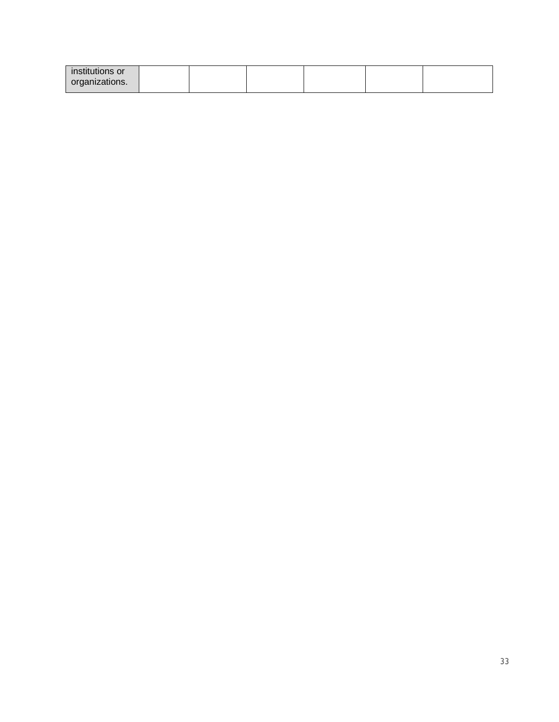| institutions or |  |  |  |
|-----------------|--|--|--|
| organizations.  |  |  |  |